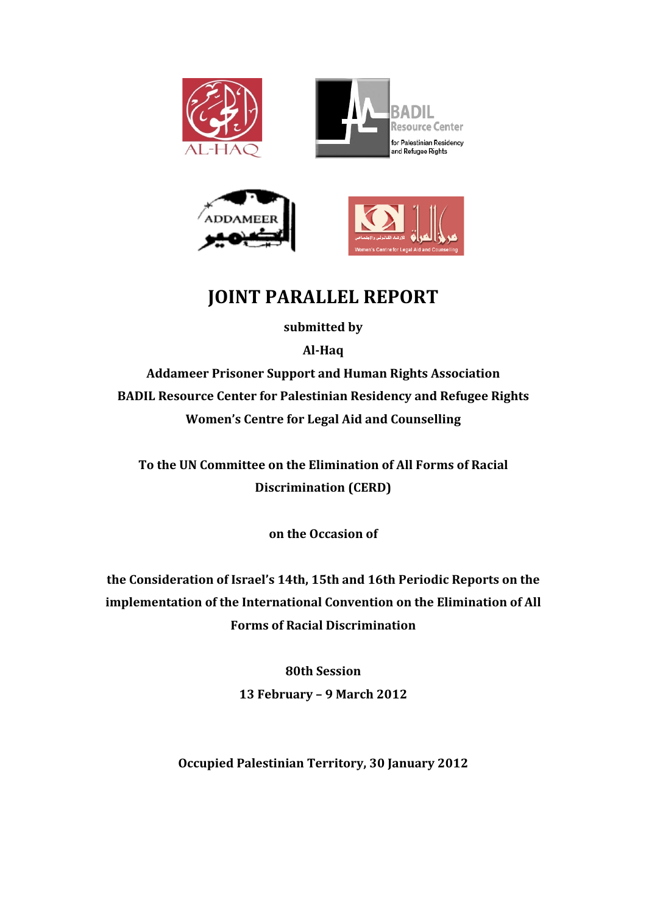



# **JOINT PARALLEL REPORT**

submitted by

**Al6Haq**

**Addameer!Prisoner!Support!and!Human!Rights!Association BADIL Resource Center for Palestinian Residency and Refugee Rights Women's Centre for Legal Aid and Counselling** 

To the UN Committee on the Elimination of All Forms of Racial **Discrimination (CERD)** 

**on!the!Occasion!of**

the Consideration of Israel's 14th, 15th and 16th Periodic Reports on the implementation of the International Convention on the Elimination of All **Forms!of!Racial!Discrimination**

> **80th!Session** 13 February - 9 March 2012

**Occupied Palestinian Territory, 30 January 2012**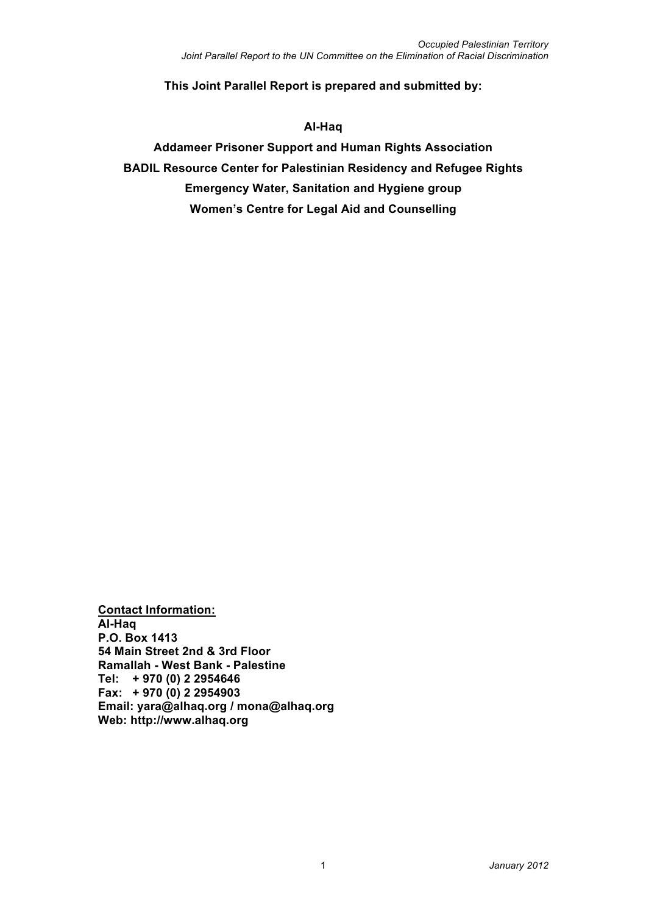**This Joint Parallel Report is prepared and submitted by:**

#### **Al-Haq**

**Addameer Prisoner Support and Human Rights Association BADIL Resource Center for Palestinian Residency and Refugee Rights Emergency Water, Sanitation and Hygiene group Women's Centre for Legal Aid and Counselling**

**Contact Information: Al-Haq P.O. Box 1413 54 Main Street 2nd & 3rd Floor Ramallah - West Bank - Palestine Tel: + 970 (0) 2 2954646 Fax: + 970 (0) 2 2954903 Email: yara@alhaq.org / mona@alhaq.org Web: http://www.alhaq.org**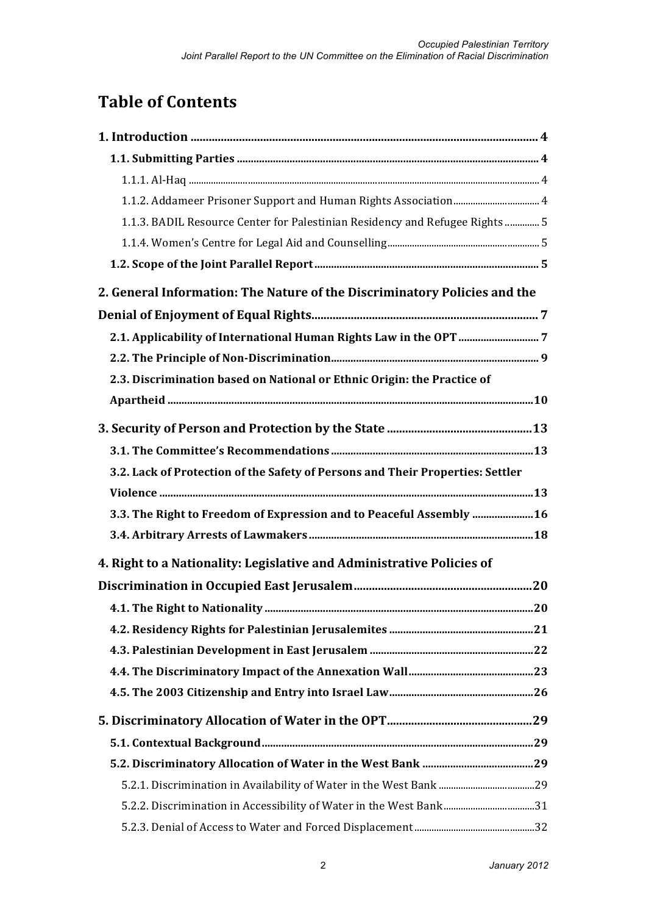# **Table of Contents**

| 1.1.3. BADIL Resource Center for Palestinian Residency and Refugee Rights  5   |  |
|--------------------------------------------------------------------------------|--|
|                                                                                |  |
|                                                                                |  |
| 2. General Information: The Nature of the Discriminatory Policies and the      |  |
|                                                                                |  |
|                                                                                |  |
|                                                                                |  |
| 2.3. Discrimination based on National or Ethnic Origin: the Practice of        |  |
|                                                                                |  |
|                                                                                |  |
|                                                                                |  |
| 3.2. Lack of Protection of the Safety of Persons and Their Properties: Settler |  |
|                                                                                |  |
| 3.3. The Right to Freedom of Expression and to Peaceful Assembly  16           |  |
|                                                                                |  |
| 4. Right to a Nationality: Legislative and Administrative Policies of          |  |
|                                                                                |  |
|                                                                                |  |
|                                                                                |  |
|                                                                                |  |
|                                                                                |  |
|                                                                                |  |
|                                                                                |  |
|                                                                                |  |
|                                                                                |  |
|                                                                                |  |
|                                                                                |  |
|                                                                                |  |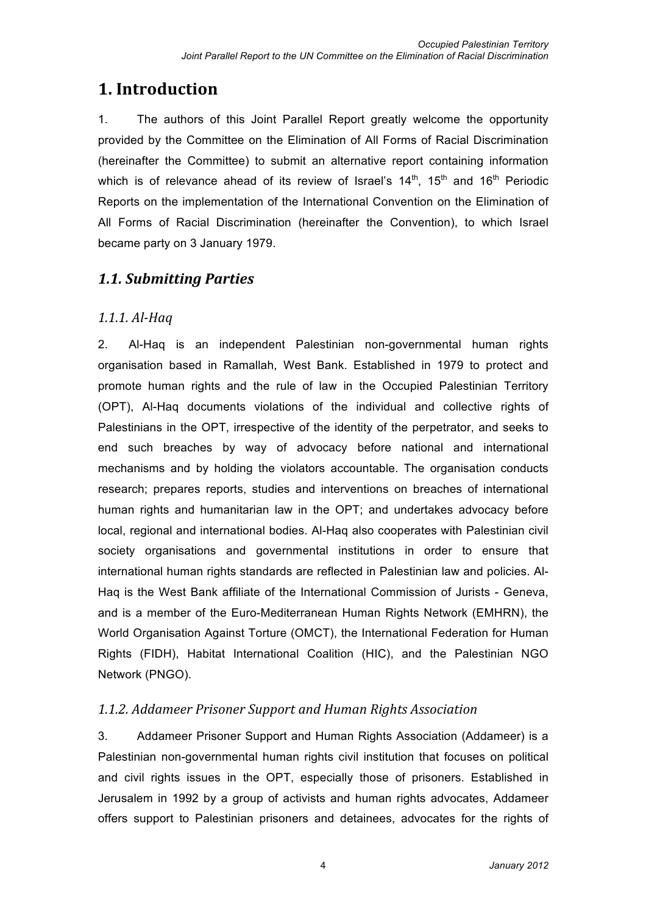## **1. Introduction**

1. The authors of this Joint Parallel Report greatly welcome the opportunity provided by the Committee on the Elimination of All Forms of Racial Discrimination (hereinafter the Committee) to submit an alternative report containing information which is of relevance ahead of its review of Israel's  $14<sup>th</sup>$ ,  $15<sup>th</sup>$  and  $16<sup>th</sup>$  Periodic Reports on the implementation of the International Convention on the Elimination of All Forms of Racial Discrimination (hereinafter the Convention), to which Israel became party on 3 January 1979.

## *1.1.#Submitting#Parties*

### *1.1.1. Al-Haq*

2. Al-Haq is an independent Palestinian non-governmental human rights organisation based in Ramallah, West Bank. Established in 1979 to protect and promote human rights and the rule of law in the Occupied Palestinian Territory (OPT), Al-Haq documents violations of the individual and collective rights of Palestinians in the OPT, irrespective of the identity of the perpetrator, and seeks to end such breaches by way of advocacy before national and international mechanisms and by holding the violators accountable. The organisation conducts research; prepares reports, studies and interventions on breaches of international human rights and humanitarian law in the OPT; and undertakes advocacy before local, regional and international bodies. Al-Haq also cooperates with Palestinian civil society organisations and governmental institutions in order to ensure that international human rights standards are reflected in Palestinian law and policies. Al-Haq is the West Bank affiliate of the International Commission of Jurists - Geneva, and is a member of the Euro-Mediterranean Human Rights Network (EMHRN), the World Organisation Against Torture (OMCT), the International Federation for Human Rights (FIDH), Habitat International Coalition (HIC), and the Palestinian NGO Network (PNGO).

### *1.1.2.#Addameer#Prisoner#Support#and#Human#Rights#Association*

3. Addameer Prisoner Support and Human Rights Association (Addameer) is a Palestinian non-governmental human rights civil institution that focuses on political and civil rights issues in the OPT, especially those of prisoners. Established in Jerusalem in 1992 by a group of activists and human rights advocates, Addameer offers support to Palestinian prisoners and detainees, advocates for the rights of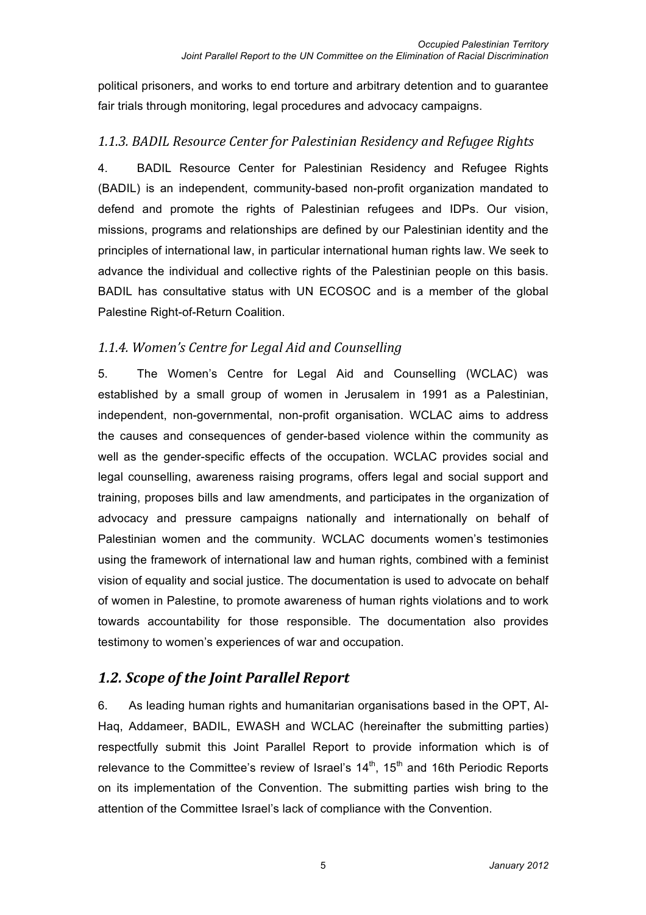political prisoners, and works to end torture and arbitrary detention and to guarantee fair trials through monitoring, legal procedures and advocacy campaigns.

### 1.1.3. BADIL Resource Center for Palestinian Residency and Refugee Rights

4. BADIL Resource Center for Palestinian Residency and Refugee Rights (BADIL) is an independent, community-based non-profit organization mandated to defend and promote the rights of Palestinian refugees and IDPs. Our vision, missions, programs and relationships are defined by our Palestinian identity and the principles of international law, in particular international human rights law. We seek to advance the individual and collective rights of the Palestinian people on this basis. BADIL has consultative status with UN ECOSOC and is a member of the global Palestine Right-of-Return Coalition.

### 1.1.4. Women's Centre for Legal Aid and Counselling

5. The Women's Centre for Legal Aid and Counselling (WCLAC) was established by a small group of women in Jerusalem in 1991 as a Palestinian, independent, non-governmental, non-profit organisation. WCLAC aims to address the causes and consequences of gender-based violence within the community as well as the gender-specific effects of the occupation. WCLAC provides social and legal counselling, awareness raising programs, offers legal and social support and training, proposes bills and law amendments, and participates in the organization of advocacy and pressure campaigns nationally and internationally on behalf of Palestinian women and the community. WCLAC documents women's testimonies using the framework of international law and human rights, combined with a feminist vision of equality and social justice. The documentation is used to advocate on behalf of women in Palestine, to promote awareness of human rights violations and to work towards accountability for those responsible. The documentation also provides testimony to women's experiences of war and occupation.

### **1.2. Scope of the Joint Parallel Report**

6. As leading human rights and humanitarian organisations based in the OPT, Al-Haq, Addameer, BADIL, EWASH and WCLAC (hereinafter the submitting parties) respectfully submit this Joint Parallel Report to provide information which is of relevance to the Committee's review of Israel's  $14<sup>th</sup>$ ,  $15<sup>th</sup>$  and 16th Periodic Reports on its implementation of the Convention. The submitting parties wish bring to the attention of the Committee Israel's lack of compliance with the Convention.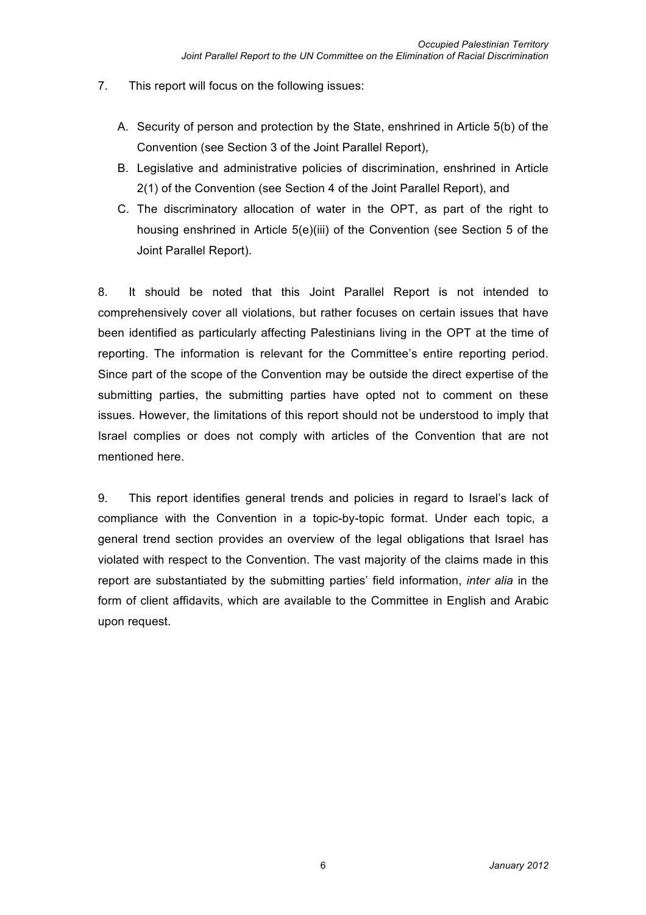- 7. This report will focus on the following issues:
	- A. Security of person and protection by the State, enshrined in Article 5(b) of the Convention (see Section 3 of the Joint Parallel Report),
	- B. Legislative and administrative policies of discrimination, enshrined in Article 2(1) of the Convention (see Section 4 of the Joint Parallel Report), and
	- C. The discriminatory allocation of water in the OPT, as part of the right to housing enshrined in Article 5(e)(iii) of the Convention (see Section 5 of the Joint Parallel Report).

8. It should be noted that this Joint Parallel Report is not intended to comprehensively cover all violations, but rather focuses on certain issues that have been identified as particularly affecting Palestinians living in the OPT at the time of reporting. The information is relevant for the Committee's entire reporting period. Since part of the scope of the Convention may be outside the direct expertise of the submitting parties, the submitting parties have opted not to comment on these issues. However, the limitations of this report should not be understood to imply that Israel complies or does not comply with articles of the Convention that are not mentioned here.

9. This report identifies general trends and policies in regard to Israel's lack of compliance with the Convention in a topic-by-topic format. Under each topic, a general trend section provides an overview of the legal obligations that Israel has violated with respect to the Convention. The vast majority of the claims made in this report are substantiated by the submitting parties' field information, *inter alia* in the form of client affidavits, which are available to the Committee in English and Arabic upon request.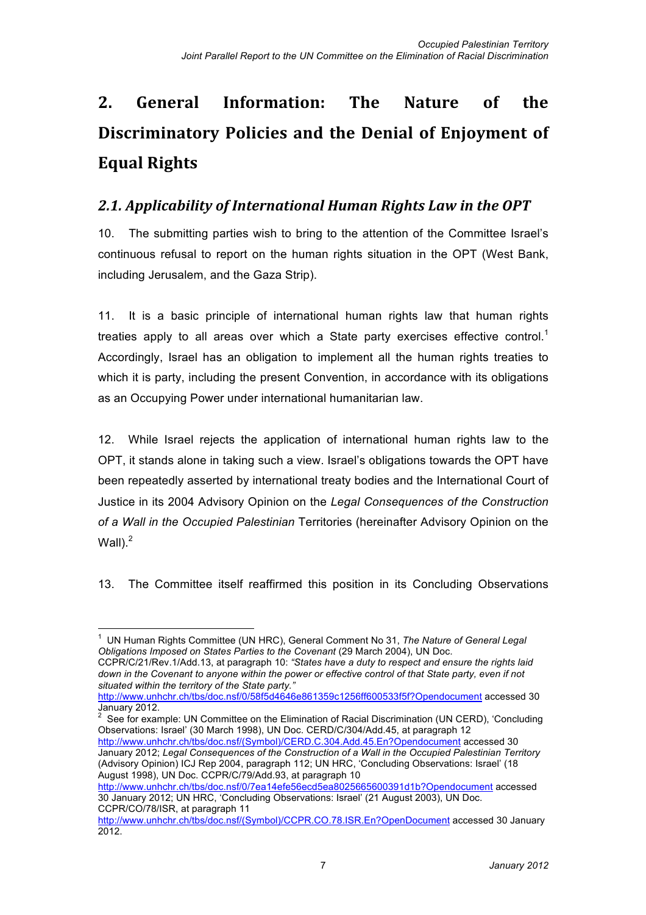# 2. General Information: The Nature of the **Discriminatory Policies and the Denial of Enjoyment of Equal!Rights**

## 2.1. Applicability of International Human Rights Law in the OPT

10. The submitting parties wish to bring to the attention of the Committee Israel's continuous refusal to report on the human rights situation in the OPT (West Bank, including Jerusalem, and the Gaza Strip).

11. It is a basic principle of international human rights law that human rights treaties apply to all areas over which a State party exercises effective control.<sup>1</sup> Accordingly, Israel has an obligation to implement all the human rights treaties to which it is party, including the present Convention, in accordance with its obligations as an Occupying Power under international humanitarian law.

12. While Israel rejects the application of international human rights law to the OPT, it stands alone in taking such a view. Israel's obligations towards the OPT have been repeatedly asserted by international treaty bodies and the International Court of Justice in its 2004 Advisory Opinion on the *Legal Consequences of the Construction of a Wall in the Occupied Palestinian* Territories (hereinafter Advisory Opinion on the Wall $)^2$ 

13. The Committee itself reaffirmed this position in its Concluding Observations

CCPR/C/21/Rev.1/Add.13, at paragraph 10: *"States have a duty to respect and ensure the rights laid down in the Covenant to anyone within the power or effective control of that State party, even if not situated within the territory of the State party."*

http://www.unhchr.ch/tbs/doc.nsf/0/58f5d4646e861359c1256ff600533f5f?Opendocument accessed 30 January 2012.

<sup>2</sup> See for example: UN Committee on the Elimination of Racial Discrimination (UN CERD), 'Concluding Observations: Israel' (30 March 1998), UN Doc. CERD/C/304/Add.45, at paragraph 12 http://www.unhchr.ch/tbs/doc.nsf/(Symbol)/CERD.C.304.Add.45.En?Opendocument accessed 30 January 2012; *Legal Consequences of the Construction of a Wall in the Occupied Palestinian Territory* (Advisory Opinion) ICJ Rep 2004, paragraph 112; UN HRC, 'Concluding Observations: Israel' (18 August 1998), UN Doc. CCPR/C/79/Add.93, at paragraph 10

http://www.unhchr.ch/tbs/doc.nsf/0/7ea14efe56ecd5ea8025665600391d1b?Opendocument accessed 30 January 2012; UN HRC, 'Concluding Observations: Israel' (21 August 2003), UN Doc. CCPR/CO/78/ISR, at paragraph 11

 <sup>1</sup> UN Human Rights Committee (UN HRC), General Comment No 31, *The Nature of General Legal Obligations Imposed on States Parties to the Covenant* (29 March 2004), UN Doc.

http://www.unhchr.ch/tbs/doc.nsf/(Symbol)/CCPR.CO.78.ISR.En?OpenDocument accessed 30 January 2012.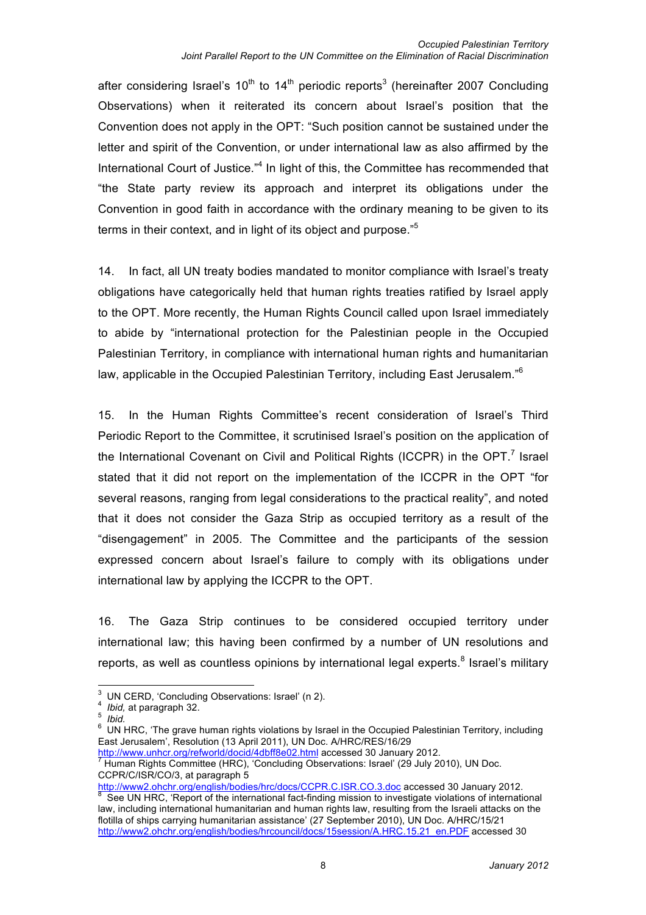after considering Israel's 10<sup>th</sup> to 14<sup>th</sup> periodic reports<sup>3</sup> (hereinafter 2007 Concluding Observations) when it reiterated its concern about Israel's position that the Convention does not apply in the OPT: "Such position cannot be sustained under the letter and spirit of the Convention, or under international law as also affirmed by the International Court of Justice."<sup>4</sup> In light of this, the Committee has recommended that "the State party review its approach and interpret its obligations under the Convention in good faith in accordance with the ordinary meaning to be given to its terms in their context, and in light of its object and purpose."<sup>5</sup>

14. In fact, all UN treaty bodies mandated to monitor compliance with Israel's treaty obligations have categorically held that human rights treaties ratified by Israel apply to the OPT. More recently, the Human Rights Council called upon Israel immediately to abide by "international protection for the Palestinian people in the Occupied Palestinian Territory, in compliance with international human rights and humanitarian law, applicable in the Occupied Palestinian Territory, including East Jerusalem."6

15. In the Human Rights Committee's recent consideration of Israel's Third Periodic Report to the Committee, it scrutinised Israel's position on the application of the International Covenant on Civil and Political Rights (ICCPR) in the OPT.<sup>7</sup> Israel stated that it did not report on the implementation of the ICCPR in the OPT "for several reasons, ranging from legal considerations to the practical reality", and noted that it does not consider the Gaza Strip as occupied territory as a result of the "disengagement" in 2005. The Committee and the participants of the session expressed concern about Israel's failure to comply with its obligations under international law by applying the ICCPR to the OPT.

16. The Gaza Strip continues to be considered occupied territory under international law; this having been confirmed by a number of UN resolutions and reports, as well as countless opinions by international legal experts.<sup>8</sup> Israel's military

<sup>3</sup> UN CERD, 'Concluding Observations: Israel' (n 2).<br>
<sup>4</sup> *Ibid,* at paragraph 32.<br>
<sup>5</sup> *Ibid.*<br>
<sup>6</sup> UN HRC. 'The grave human rights violations by Israel in the Occupied Palestinian Territory, including East Jerusalem', Resolution (13 April 2011), UN Doc. A/HRC/RES/16/29

buther with the state of the paragraphical organization.<br>
<sup>8</sup> See UN HRC, 'Report of the international fact-finding mission to investigate violations of international international law, including international humanitarian and human rights law, resulting from the Israeli attacks on the flotilla of ships carrying humanitarian assistance' (27 September 2010), UN Doc. A/HRC/15/21 http://www2.ohchr.org/english/bodies/hrcouncil/docs/15session/A.HRC.15.21\_en.PDF accessed 30

http://www.unhcr.org/refworld/docid/4dbff8e02.html accessed 30 January 2012.<br>The Human Rights Committee (HRC), 'Concluding Observations: Israel' (29 July 2010), UN Doc. CCPR/C/ISR/CO/3, at paragraph 5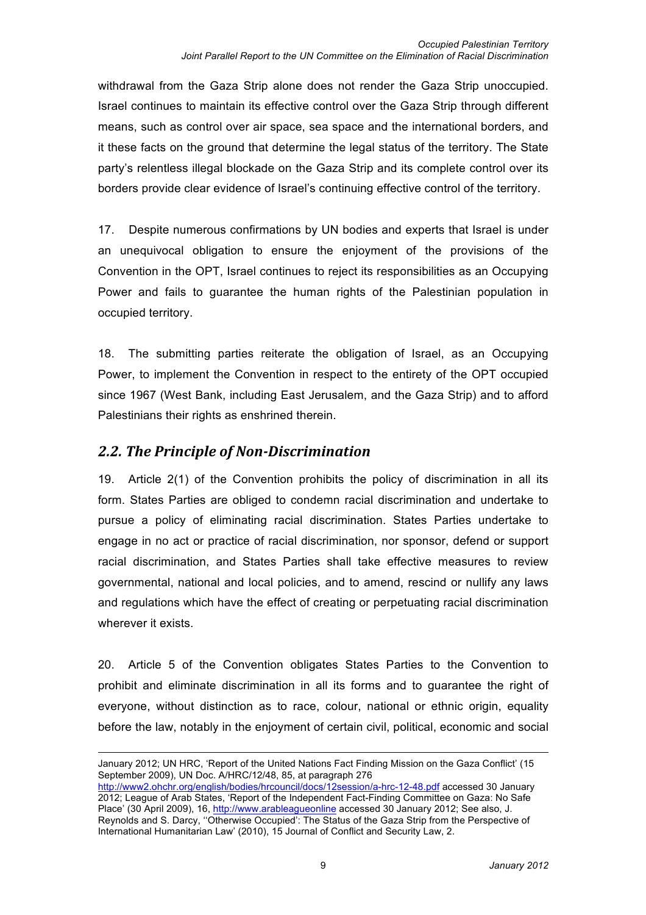withdrawal from the Gaza Strip alone does not render the Gaza Strip unoccupied. Israel continues to maintain its effective control over the Gaza Strip through different means, such as control over air space, sea space and the international borders, and it these facts on the ground that determine the legal status of the territory. The State party's relentless illegal blockade on the Gaza Strip and its complete control over its borders provide clear evidence of Israel's continuing effective control of the territory.

17. Despite numerous confirmations by UN bodies and experts that Israel is under an unequivocal obligation to ensure the enjoyment of the provisions of the Convention in the OPT, Israel continues to reject its responsibilities as an Occupying Power and fails to guarantee the human rights of the Palestinian population in occupied territory.

18. The submitting parties reiterate the obligation of Israel, as an Occupying Power, to implement the Convention in respect to the entirety of the OPT occupied since 1967 (West Bank, including East Jerusalem, and the Gaza Strip) and to afford Palestinians their rights as enshrined therein.

### **2.2. The Principle of Non-Discrimination**

1

19. Article 2(1) of the Convention prohibits the policy of discrimination in all its form. States Parties are obliged to condemn racial discrimination and undertake to pursue a policy of eliminating racial discrimination. States Parties undertake to engage in no act or practice of racial discrimination, nor sponsor, defend or support racial discrimination, and States Parties shall take effective measures to review governmental, national and local policies, and to amend, rescind or nullify any laws and regulations which have the effect of creating or perpetuating racial discrimination wherever it exists.

20. Article 5 of the Convention obligates States Parties to the Convention to prohibit and eliminate discrimination in all its forms and to guarantee the right of everyone, without distinction as to race, colour, national or ethnic origin, equality before the law, notably in the enjoyment of certain civil, political, economic and social

January 2012; UN HRC, 'Report of the United Nations Fact Finding Mission on the Gaza Conflict' (15 September 2009), UN Doc. A/HRC/12/48, 85, at paragraph 276 http://www2.ohchr.org/english/bodies/hrcouncil/docs/12session/a-hrc-12-48.pdf accessed 30 January 2012; League of Arab States, 'Report of the Independent Fact-Finding Committee on Gaza: No Safe Place' (30 April 2009), 16, http://www.arableagueonline accessed 30 January 2012; See also, J. Reynolds and S. Darcy, ''Otherwise Occupied': The Status of the Gaza Strip from the Perspective of International Humanitarian Law' (2010), 15 Journal of Conflict and Security Law, 2.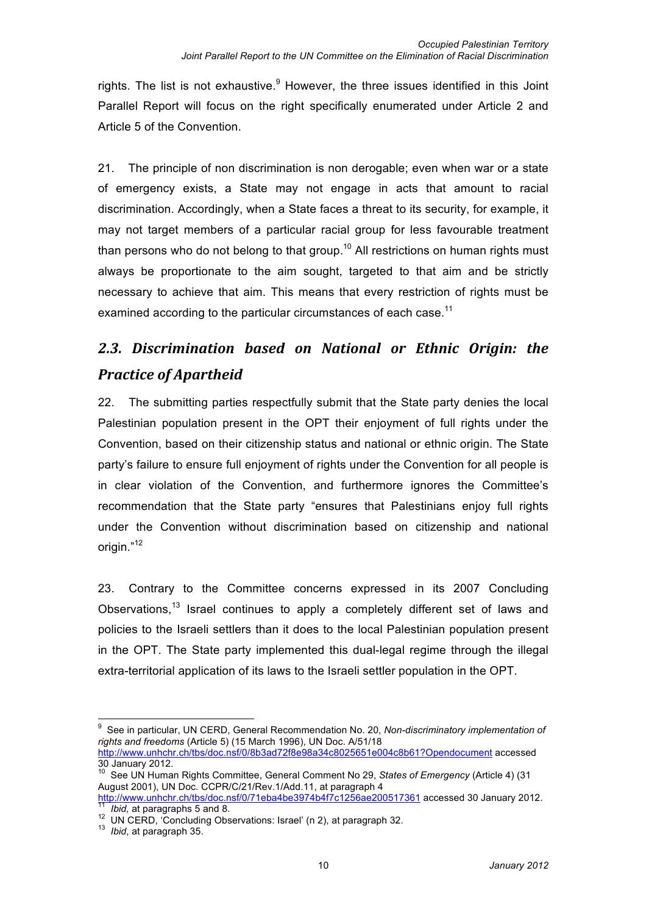rights. The list is not exhaustive.<sup>9</sup> However, the three issues identified in this Joint Parallel Report will focus on the right specifically enumerated under Article 2 and Article 5 of the Convention.

21. The principle of non discrimination is non derogable; even when war or a state of emergency exists, a State may not engage in acts that amount to racial discrimination. Accordingly, when a State faces a threat to its security, for example, it may not target members of a particular racial group for less favourable treatment than persons who do not belong to that group.<sup>10</sup> All restrictions on human rights must always be proportionate to the aim sought, targeted to that aim and be strictly necessary to achieve that aim. This means that every restriction of rights must be examined according to the particular circumstances of each case.<sup>11</sup>

# *2.3.# Discrimination# based# on# National# or# Ethnic# Origin:# the#* **Practice of Apartheid**

22. The submitting parties respectfully submit that the State party denies the local Palestinian population present in the OPT their enjoyment of full rights under the Convention, based on their citizenship status and national or ethnic origin. The State party's failure to ensure full enjoyment of rights under the Convention for all people is in clear violation of the Convention, and furthermore ignores the Committee's recommendation that the State party "ensures that Palestinians enjoy full rights under the Convention without discrimination based on citizenship and national origin."<sup>12</sup>

23. Contrary to the Committee concerns expressed in its 2007 Concluding Observations,<sup>13</sup> Israel continues to apply a completely different set of laws and policies to the Israeli settlers than it does to the local Palestinian population present in the OPT. The State party implemented this dual-legal regime through the illegal extra-territorial application of its laws to the Israeli settler population in the OPT.

 <sup>9</sup> See in particular, UN CERD, General Recommendation No. 20, *Non-discriminatory implementation of rights and freedoms* (Article 5) (15 March 1996), UN Doc. A/51/18 http://www.unhchr.ch/tbs/doc.nsf/0/8b3ad72f8e98a34c8025651e004c8b61?Opendocument accessed 30 January 2012.

<sup>10</sup> See UN Human Rights Committee, General Comment No 29, *States of Emergency* (Article 4) (31 August 2001), UN Doc. CCPR/C/21/Rev.1/Add.11, at paragraph 4<br>http://www.unhchr.ch/tbs/doc.nsf/0/71eba4be3974b4f7c1256ae200517361 accessed 30 January 2012.

*This is a paragraphs* 5 and 8.<br><sup>12</sup> UN CERD, 'Concluding Observations: Israel' (n 2), at paragraph 32.<br><sup>13</sup> Ibid, at paragraph 35.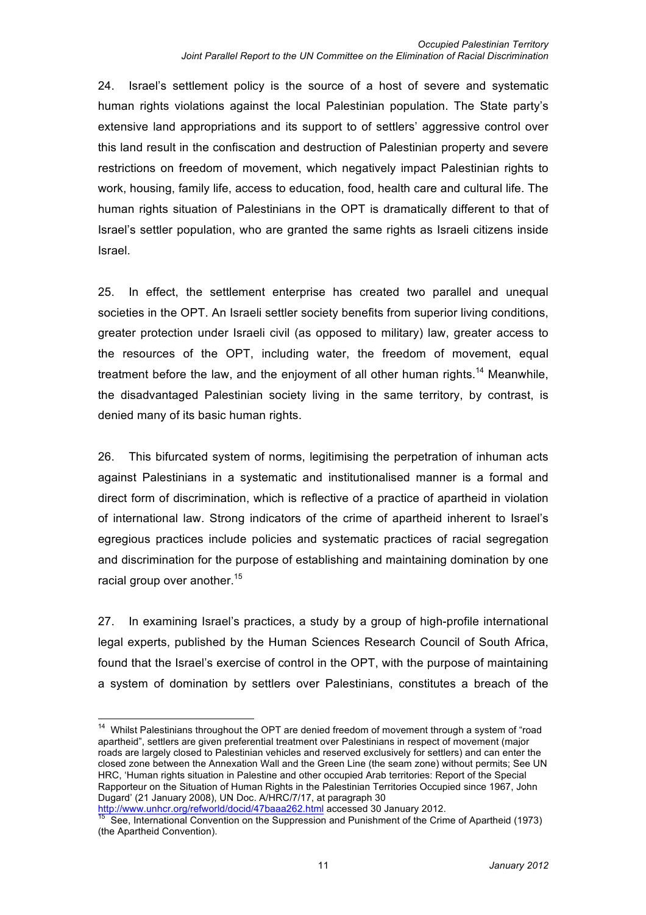24. Israel's settlement policy is the source of a host of severe and systematic human rights violations against the local Palestinian population. The State party's extensive land appropriations and its support to of settlers' aggressive control over this land result in the confiscation and destruction of Palestinian property and severe restrictions on freedom of movement, which negatively impact Palestinian rights to work, housing, family life, access to education, food, health care and cultural life. The human rights situation of Palestinians in the OPT is dramatically different to that of Israel's settler population, who are granted the same rights as Israeli citizens inside Israel.

25. In effect, the settlement enterprise has created two parallel and unequal societies in the OPT. An Israeli settler society benefits from superior living conditions, greater protection under Israeli civil (as opposed to military) law, greater access to the resources of the OPT, including water, the freedom of movement, equal treatment before the law, and the enjoyment of all other human rights.<sup>14</sup> Meanwhile, the disadvantaged Palestinian society living in the same territory, by contrast, is denied many of its basic human rights.

26. This bifurcated system of norms, legitimising the perpetration of inhuman acts against Palestinians in a systematic and institutionalised manner is a formal and direct form of discrimination, which is reflective of a practice of apartheid in violation of international law. Strong indicators of the crime of apartheid inherent to Israel's egregious practices include policies and systematic practices of racial segregation and discrimination for the purpose of establishing and maintaining domination by one racial group over another.<sup>15</sup>

27. In examining Israel's practices, a study by a group of high-profile international legal experts, published by the Human Sciences Research Council of South Africa, found that the Israel's exercise of control in the OPT, with the purpose of maintaining a system of domination by settlers over Palestinians, constitutes a breach of the

<sup>&</sup>lt;sup>14</sup> Whilst Palestinians throughout the OPT are denied freedom of movement through a system of "road apartheid", settlers are given preferential treatment over Palestinians in respect of movement (major roads are largely closed to Palestinian vehicles and reserved exclusively for settlers) and can enter the closed zone between the Annexation Wall and the Green Line (the seam zone) without permits; See UN HRC, 'Human rights situation in Palestine and other occupied Arab territories: Report of the Special Rapporteur on the Situation of Human Rights in the Palestinian Territories Occupied since 1967, John Dugard' (21 January 2008), UN Doc. A/HRC/7/17, at paragraph 30<br>http://www.unhcr.org/refworld/docid/47baaa262.html accessed 30 January 2012.

<sup>&</sup>lt;sup>15</sup> See, International Convention on the Suppression and Punishment of the Crime of Apartheid (1973) (the Apartheid Convention).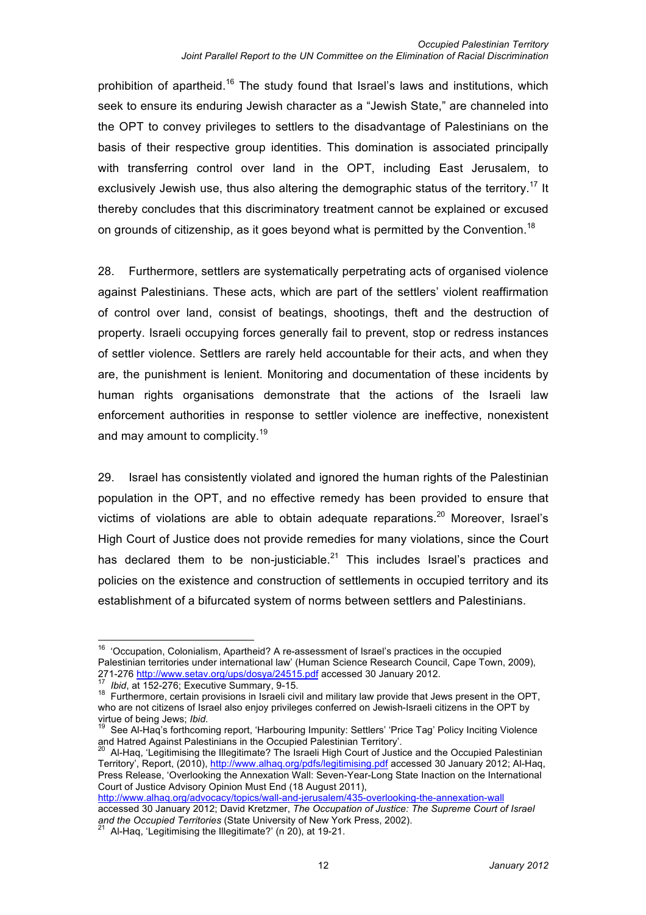prohibition of apartheid.<sup>16</sup> The study found that Israel's laws and institutions, which seek to ensure its enduring Jewish character as a "Jewish State," are channeled into the OPT to convey privileges to settlers to the disadvantage of Palestinians on the basis of their respective group identities. This domination is associated principally with transferring control over land in the OPT, including East Jerusalem, to exclusively Jewish use, thus also altering the demographic status of the territory.<sup>17</sup> It thereby concludes that this discriminatory treatment cannot be explained or excused on grounds of citizenship, as it goes beyond what is permitted by the Convention.<sup>18</sup>

28. Furthermore, settlers are systematically perpetrating acts of organised violence against Palestinians. These acts, which are part of the settlers' violent reaffirmation of control over land, consist of beatings, shootings, theft and the destruction of property. Israeli occupying forces generally fail to prevent, stop or redress instances of settler violence. Settlers are rarely held accountable for their acts, and when they are, the punishment is lenient. Monitoring and documentation of these incidents by human rights organisations demonstrate that the actions of the Israeli law enforcement authorities in response to settler violence are ineffective, nonexistent and may amount to complicity.<sup>19</sup>

29. Israel has consistently violated and ignored the human rights of the Palestinian population in the OPT, and no effective remedy has been provided to ensure that victims of violations are able to obtain adequate reparations.<sup>20</sup> Moreover, Israel's High Court of Justice does not provide remedies for many violations, since the Court has declared them to be non-justiciable.<sup>21</sup> This includes Israel's practices and policies on the existence and construction of settlements in occupied territory and its establishment of a bifurcated system of norms between settlers and Palestinians.

http://www.alhaq.org/advocacy/topics/wall-and-jerusalem/435-overlooking-the-annexation-wall accessed 30 January 2012; David Kretzmer, *The Occupation of Justice: The Supreme Court of Israel and the Occupied Territories* (State University of New York Press, 2002). <sup>21</sup> Al-Haq, 'Legitimising the Illegitimate?' (n 20), at 19-21.

<sup>&</sup>lt;sup>16</sup> 'Occupation, Colonialism, Apartheid? A re-assessment of Israel's practices in the occupied Palestinian territories under international law' (Human Science Research Council, Cape Town, 2009), 271-276 http://www.setav.org/ups/dosya/24515.pdf accessed 30 January 2012.<br>
<sup>17</sup> Ibid, at 152-276; Executive Summary, 9-15.<br>
<sup>18</sup> Furthermore, certain provisions in Israeli civil and military law provide that Jews present

who are not citizens of Israel also enjoy privileges conferred on Jewish-Israeli citizens in the OPT by virtue of being Jews; *Ibid.* 19 See Al-Haq's forthcoming report, 'Harbouring Impunity: Settlers' 'Price Tag' Policy Inciting Violence

and Hatred Against Palestinians in the Occupied Palestinian Territory'.<br><sup>20</sup> Al-Haq, 'Legitimising the Illegitimate? The Israeli High Court of Justice and the Occupied Palestinian

Territory', Report, (2010), http://www.alhaq.org/pdfs/legitimising.pdf accessed 30 January 2012; Al-Haq, Press Release, 'Overlooking the Annexation Wall: Seven-Year-Long State Inaction on the International Court of Justice Advisory Opinion Must End (18 August 2011),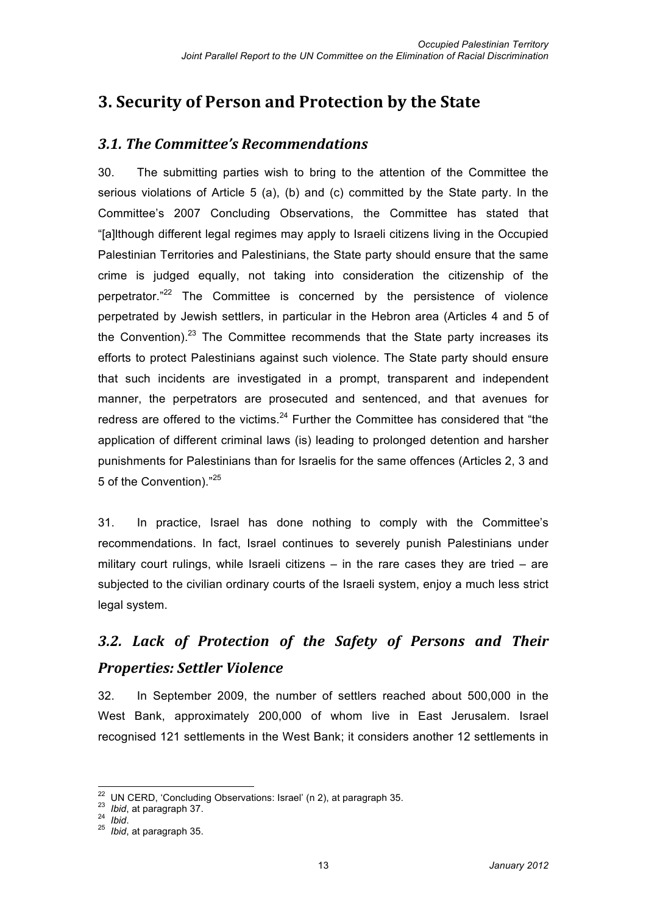## **3. Security of Person and Protection by the State**

### *3.1.#The#Committee's#Recommendations*

30. The submitting parties wish to bring to the attention of the Committee the serious violations of Article 5 (a), (b) and (c) committed by the State party. In the Committee's 2007 Concluding Observations, the Committee has stated that "[a]lthough different legal regimes may apply to Israeli citizens living in the Occupied Palestinian Territories and Palestinians, the State party should ensure that the same crime is judged equally, not taking into consideration the citizenship of the perpetrator."<sup>22</sup> The Committee is concerned by the persistence of violence perpetrated by Jewish settlers, in particular in the Hebron area (Articles 4 and 5 of the Convention). $23$  The Committee recommends that the State party increases its efforts to protect Palestinians against such violence. The State party should ensure that such incidents are investigated in a prompt, transparent and independent manner, the perpetrators are prosecuted and sentenced, and that avenues for redress are offered to the victims. $24$  Further the Committee has considered that "the application of different criminal laws (is) leading to prolonged detention and harsher punishments for Palestinians than for Israelis for the same offences (Articles 2, 3 and 5 of the Convention)."<sup>25</sup>

31. In practice, Israel has done nothing to comply with the Committee's recommendations. In fact, Israel continues to severely punish Palestinians under military court rulings, while Israeli citizens  $-$  in the rare cases they are tried  $-$  are subjected to the civilian ordinary courts of the Israeli system, enjoy a much less strict legal system.

# 3.2. Lack of Protection of the Safety of Persons and Their **Properties: Settler Violence**

32. In September 2009, the number of settlers reached about 500,000 in the West Bank, approximately 200,000 of whom live in East Jerusalem. Israel recognised 121 settlements in the West Bank; it considers another 12 settlements in

<sup>22</sup> UN CERD, 'Concluding Observations: Israel' (n 2), at paragraph 35. <sup>23</sup> *Ibid*, at paragraph 37. <sup>24</sup> *Ibid*. <sup>25</sup> *Ibid*, at paragraph 35.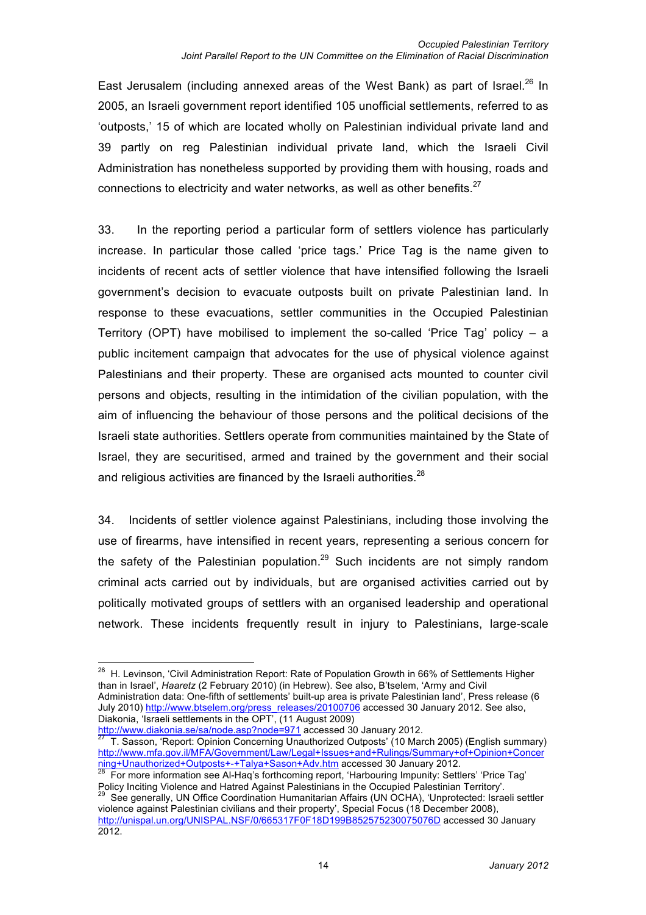East Jerusalem (including annexed areas of the West Bank) as part of Israel.<sup>26</sup> In 2005, an Israeli government report identified 105 unofficial settlements, referred to as 'outposts,' 15 of which are located wholly on Palestinian individual private land and 39 partly on reg Palestinian individual private land, which the Israeli Civil Administration has nonetheless supported by providing them with housing, roads and connections to electricity and water networks, as well as other benefits. $27$ 

33. In the reporting period a particular form of settlers violence has particularly increase. In particular those called 'price tags.' Price Tag is the name given to incidents of recent acts of settler violence that have intensified following the Israeli government's decision to evacuate outposts built on private Palestinian land. In response to these evacuations, settler communities in the Occupied Palestinian Territory (OPT) have mobilised to implement the so-called 'Price Tag' policy – a public incitement campaign that advocates for the use of physical violence against Palestinians and their property. These are organised acts mounted to counter civil persons and objects, resulting in the intimidation of the civilian population, with the aim of influencing the behaviour of those persons and the political decisions of the Israeli state authorities. Settlers operate from communities maintained by the State of Israel, they are securitised, armed and trained by the government and their social and religious activities are financed by the Israeli authorities. $28$ 

34. Incidents of settler violence against Palestinians, including those involving the use of firearms, have intensified in recent years, representing a serious concern for the safety of the Palestinian population.<sup>29</sup> Such incidents are not simply random criminal acts carried out by individuals, but are organised activities carried out by politically motivated groups of settlers with an organised leadership and operational network. These incidents frequently result in injury to Palestinians, large-scale

<sup>&</sup>lt;sup>26</sup> H. Levinson, 'Civil Administration Report: Rate of Population Growth in 66% of Settlements Higher than in Israel', *Haaretz* (2 February 2010) (in Hebrew). See also, B'tselem, 'Army and Civil Administration data: One-fifth of settlements' built-up area is private Palestinian land', Press release (6 July 2010) http://www.btselem.org/press\_releases/20100706 accessed 30 January 2012. See also, Diakonia, 'Israeli settlements in the OPT', (11 August 2009)

<sup>&</sup>lt;u>http://www.diakonia.se/sa/node.asp?node=971</u> accessed 30 January 2012.<br><sup>27</sup> T. Sasson, 'Report: Opinion Concerning Unauthorized Outposts' (10 March 2005) (English summary) http://www.mfa.gov.il/MFA/Government/Law/Legal+Issues+and+Rulings/Summary+of+Opinion+Concer ning+Unauthorized+Outposts+-+Talya+Sason+Adv.htm accessed 30 January 2012.<br><sup>28</sup> For more information see Al-Haq's forthcoming report, 'Harbouring Impunity: Settlers' 'Price Tag'

Policy Inciting Violence and Hatred Against Palestinians in the Occupied Palestinian Territory'.<br><sup>29</sup> See generally, UN Office Coordination Humanitarian Affairs (UN OCHA), 'Unprotected: Israeli settler

violence against Palestinian civilians and their property', Special Focus (18 December 2008), http://unispal.un.org/UNISPAL.NSF/0/665317F0F18D199B852575230075076D accessed 30 January 2012.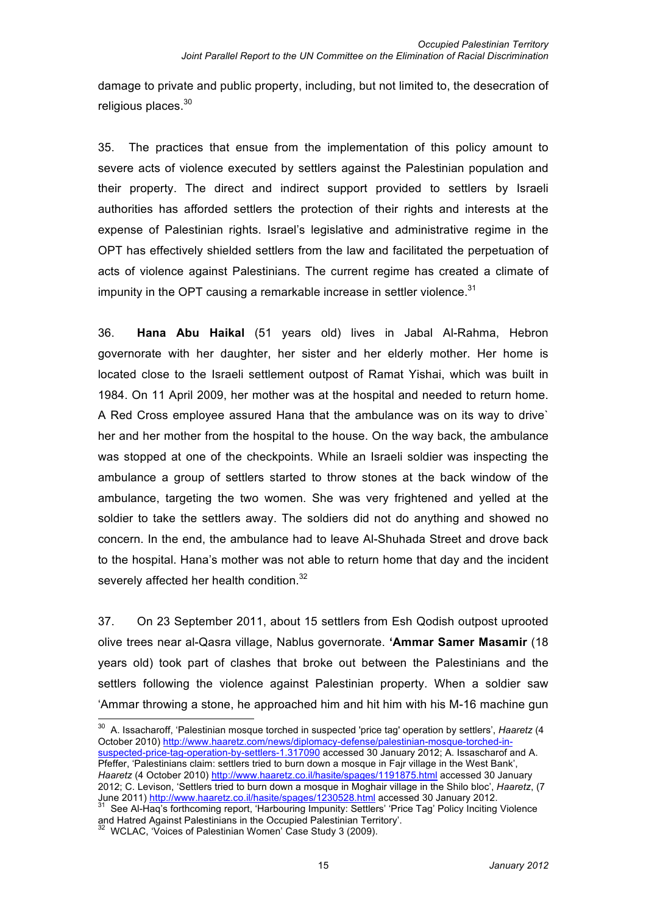damage to private and public property, including, but not limited to, the desecration of religious places.<sup>30</sup>

35. The practices that ensue from the implementation of this policy amount to severe acts of violence executed by settlers against the Palestinian population and their property. The direct and indirect support provided to settlers by Israeli authorities has afforded settlers the protection of their rights and interests at the expense of Palestinian rights. Israel's legislative and administrative regime in the OPT has effectively shielded settlers from the law and facilitated the perpetuation of acts of violence against Palestinians. The current regime has created a climate of impunity in the OPT causing a remarkable increase in settler violence.<sup>31</sup>

36. **Hana Abu Haikal** (51 years old) lives in Jabal Al-Rahma, Hebron governorate with her daughter, her sister and her elderly mother. Her home is located close to the Israeli settlement outpost of Ramat Yishai, which was built in 1984. On 11 April 2009, her mother was at the hospital and needed to return home. A Red Cross employee assured Hana that the ambulance was on its way to drive` her and her mother from the hospital to the house. On the way back, the ambulance was stopped at one of the checkpoints. While an Israeli soldier was inspecting the ambulance a group of settlers started to throw stones at the back window of the ambulance, targeting the two women. She was very frightened and yelled at the soldier to take the settlers away. The soldiers did not do anything and showed no concern. In the end, the ambulance had to leave Al-Shuhada Street and drove back to the hospital. Hana's mother was not able to return home that day and the incident severely affected her health condition.<sup>32</sup>

37. On 23 September 2011, about 15 settlers from Esh Qodish outpost uprooted olive trees near al-Qasra village, Nablus governorate. **'Ammar Samer Masamir** (18 years old) took part of clashes that broke out between the Palestinians and the settlers following the violence against Palestinian property. When a soldier saw 'Ammar throwing a stone, he approached him and hit him with his M-16 machine gun

 <sup>30</sup> A. Issacharoff, 'Palestinian mosque torched in suspected 'price tag' operation by settlers', *Haaretz* (4 October 2010) http://www.haaretz.com/news/diplomacy-defense/palestinian-mosque-torched-insuspected-price-tag-operation-by-settlers-1.317090 accessed 30 January 2012; A. Issascharof and A. Pfeffer, 'Palestinians claim: settlers tried to burn down a mosque in Fajr village in the West Bank', *Haaretz* (4 October 2010) http://www.haaretz.co.il/hasite/spages/1191875.html accessed 30 January 2012; C. Levison, 'Settlers tried to burn down a mosque in Moghair village in the Shilo bloc', *Haaretz*, (7 June 2011) http://www.haaretz.co.il/hasite/spages/1230528.html accessed 30 January 2012.

June 2011) <u>http://www.haaretz.co.il/hasite/spages/1230528.html</u> accessed 30 Secretary 2012.<br><sup>31</sup> See Al-Haq's forthcoming report, 'Harbouring Impunity: Settlers' 'Price Tag' Policy Inciting Violence<br>and Hatred Against Pal

 $32$  WCLAC, 'Voices of Palestinian Women' Case Study 3 (2009).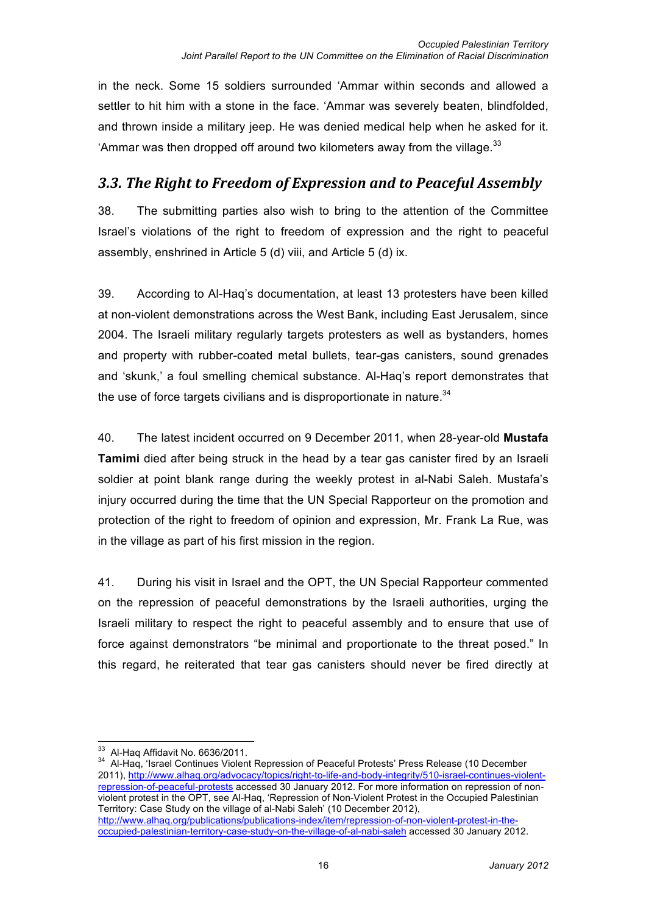in the neck. Some 15 soldiers surrounded 'Ammar within seconds and allowed a settler to hit him with a stone in the face. 'Ammar was severely beaten, blindfolded, and thrown inside a military jeep. He was denied medical help when he asked for it. 'Ammar was then dropped off around two kilometers away from the village. $^{33}$ 

### *3.3. The Right to Freedom of Expression and to Peaceful Assembly*

38. The submitting parties also wish to bring to the attention of the Committee Israel's violations of the right to freedom of expression and the right to peaceful assembly, enshrined in Article 5 (d) viii, and Article 5 (d) ix.

39. According to Al-Haq's documentation, at least 13 protesters have been killed at non-violent demonstrations across the West Bank, including East Jerusalem, since 2004. The Israeli military regularly targets protesters as well as bystanders, homes and property with rubber-coated metal bullets, tear-gas canisters, sound grenades and 'skunk,' a foul smelling chemical substance. Al-Haq's report demonstrates that the use of force targets civilians and is disproportionate in nature. $34$ 

40. The latest incident occurred on 9 December 2011, when 28-year-old **Mustafa Tamimi** died after being struck in the head by a tear gas canister fired by an Israeli soldier at point blank range during the weekly protest in al-Nabi Saleh. Mustafa's injury occurred during the time that the UN Special Rapporteur on the promotion and protection of the right to freedom of opinion and expression, Mr. Frank La Rue, was in the village as part of his first mission in the region.

41. During his visit in Israel and the OPT, the UN Special Rapporteur commented on the repression of peaceful demonstrations by the Israeli authorities, urging the Israeli military to respect the right to peaceful assembly and to ensure that use of force against demonstrators "be minimal and proportionate to the threat posed." In this regard, he reiterated that tear gas canisters should never be fired directly at

<sup>33</sup> Al-Haq Affidavit No. 6636/2011.<br><sup>34</sup> Al-Haq, 'Israel Continues Violent Repression of Peaceful Protests' Press Release (10 December 2011), http://www.alhaq.org/advocacy/topics/right-to-life-and-body-integrity/510-israel-continues-violentrepression-of-peaceful-protests accessed 30 January 2012. For more information on repression of nonviolent protest in the OPT, see Al-Haq, 'Repression of Non-Violent Protest in the Occupied Palestinian Territory: Case Study on the village of al-Nabi Saleh' (10 December 2012), http://www.alhaq.org/publications/publications-index/item/repression-of-non-violent-protest-in-theoccupied-palestinian-territory-case-study-on-the-village-of-al-nabi-saleh accessed 30 January 2012.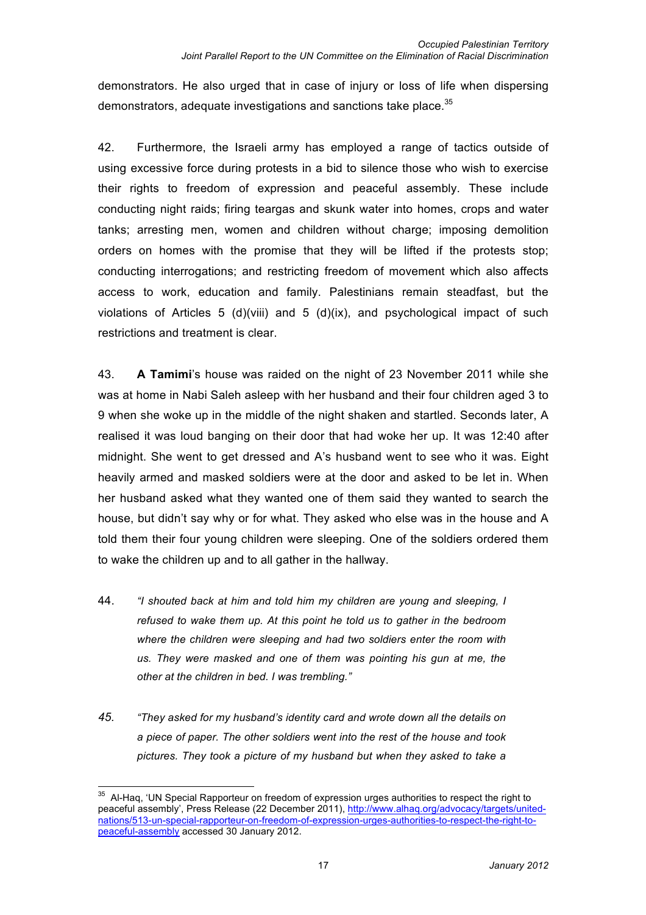demonstrators. He also urged that in case of injury or loss of life when dispersing demonstrators, adequate investigations and sanctions take place.<sup>35</sup>

42. Furthermore, the Israeli army has employed a range of tactics outside of using excessive force during protests in a bid to silence those who wish to exercise their rights to freedom of expression and peaceful assembly. These include conducting night raids; firing teargas and skunk water into homes, crops and water tanks; arresting men, women and children without charge; imposing demolition orders on homes with the promise that they will be lifted if the protests stop; conducting interrogations; and restricting freedom of movement which also affects access to work, education and family. Palestinians remain steadfast, but the violations of Articles 5 (d)(viii) and 5 (d)(ix), and psychological impact of such restrictions and treatment is clear.

43. **A Tamimi**'s house was raided on the night of 23 November 2011 while she was at home in Nabi Saleh asleep with her husband and their four children aged 3 to 9 when she woke up in the middle of the night shaken and startled. Seconds later, A realised it was loud banging on their door that had woke her up. It was 12:40 after midnight. She went to get dressed and A's husband went to see who it was. Eight heavily armed and masked soldiers were at the door and asked to be let in. When her husband asked what they wanted one of them said they wanted to search the house, but didn't say why or for what. They asked who else was in the house and A told them their four young children were sleeping. One of the soldiers ordered them to wake the children up and to all gather in the hallway.

- 44. *"I shouted back at him and told him my children are young and sleeping, I refused to wake them up. At this point he told us to gather in the bedroom where the children were sleeping and had two soldiers enter the room with us. They were masked and one of them was pointing his gun at me, the other at the children in bed. I was trembling."*
- *45. "They asked for my husband's identity card and wrote down all the details on a piece of paper. The other soldiers went into the rest of the house and took pictures. They took a picture of my husband but when they asked to take a*

<sup>&</sup>lt;sup>35</sup> Al-Haq, 'UN Special Rapporteur on freedom of expression urges authorities to respect the right to peaceful assembly', Press Release (22 December 2011), http://www.alhaq.org/advocacy/targets/unitednations/513-un-special-rapporteur-on-freedom-of-expression-urges-authorities-to-respect-the-right-topeaceful-assembly accessed 30 January 2012.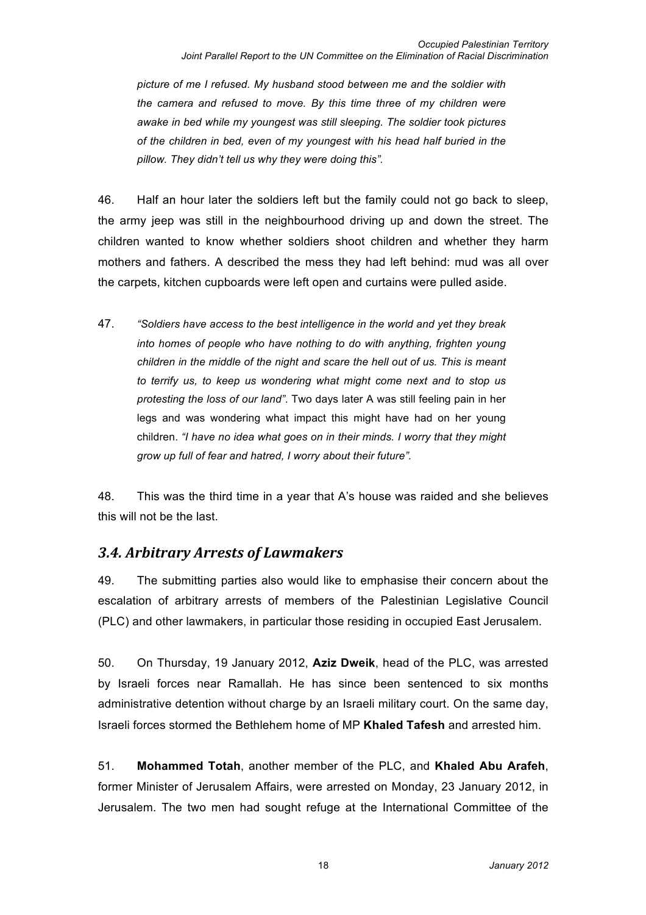*picture of me I refused. My husband stood between me and the soldier with the camera and refused to move. By this time three of my children were awake in bed while my youngest was still sleeping. The soldier took pictures of the children in bed, even of my youngest with his head half buried in the pillow. They didn't tell us why they were doing this".*

46. Half an hour later the soldiers left but the family could not go back to sleep, the army jeep was still in the neighbourhood driving up and down the street. The children wanted to know whether soldiers shoot children and whether they harm mothers and fathers. A described the mess they had left behind: mud was all over the carpets, kitchen cupboards were left open and curtains were pulled aside.

47. *"Soldiers have access to the best intelligence in the world and yet they break into homes of people who have nothing to do with anything, frighten young children in the middle of the night and scare the hell out of us. This is meant to terrify us, to keep us wondering what might come next and to stop us protesting the loss of our land"*. Two days later A was still feeling pain in her legs and was wondering what impact this might have had on her young children. *"I have no idea what goes on in their minds. I worry that they might grow up full of fear and hatred, I worry about their future".*

48. This was the third time in a year that A's house was raided and she believes this will not be the last.

### 3.4. Arbitrary Arrests of Lawmakers

49. The submitting parties also would like to emphasise their concern about the escalation of arbitrary arrests of members of the Palestinian Legislative Council (PLC) and other lawmakers, in particular those residing in occupied East Jerusalem.

50. On Thursday, 19 January 2012, **Aziz Dweik**, head of the PLC, was arrested by Israeli forces near Ramallah. He has since been sentenced to six months administrative detention without charge by an Israeli military court. On the same day, Israeli forces stormed the Bethlehem home of MP **Khaled Tafesh** and arrested him.

51. **Mohammed Totah**, another member of the PLC, and **Khaled Abu Arafeh**, former Minister of Jerusalem Affairs, were arrested on Monday, 23 January 2012, in Jerusalem. The two men had sought refuge at the International Committee of the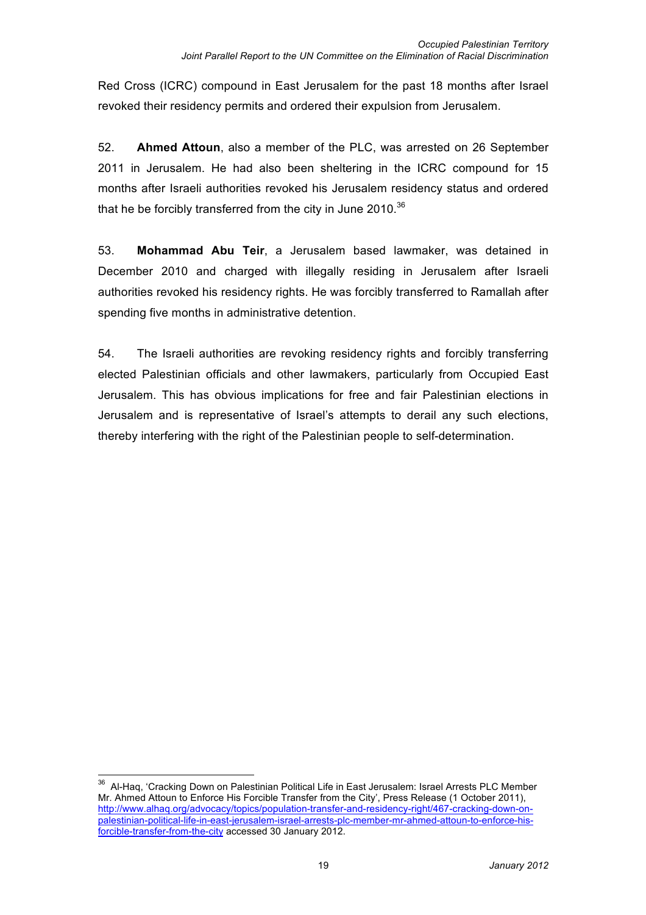Red Cross (ICRC) compound in East Jerusalem for the past 18 months after Israel revoked their residency permits and ordered their expulsion from Jerusalem.

52. **Ahmed Attoun**, also a member of the PLC, was arrested on 26 September 2011 in Jerusalem. He had also been sheltering in the ICRC compound for 15 months after Israeli authorities revoked his Jerusalem residency status and ordered that he be forcibly transferred from the city in June 2010. $36$ 

53. **Mohammad Abu Teir**, a Jerusalem based lawmaker, was detained in December 2010 and charged with illegally residing in Jerusalem after Israeli authorities revoked his residency rights. He was forcibly transferred to Ramallah after spending five months in administrative detention.

54. The Israeli authorities are revoking residency rights and forcibly transferring elected Palestinian officials and other lawmakers, particularly from Occupied East Jerusalem. This has obvious implications for free and fair Palestinian elections in Jerusalem and is representative of Israel's attempts to derail any such elections, thereby interfering with the right of the Palestinian people to self-determination.

<sup>&</sup>lt;sup>36</sup> Al-Haq, 'Cracking Down on Palestinian Political Life in East Jerusalem: Israel Arrests PLC Member Mr. Ahmed Attoun to Enforce His Forcible Transfer from the City', Press Release (1 October 2011), http://www.alhaq.org/advocacy/topics/population-transfer-and-residency-right/467-cracking-down-onpalestinian-political-life-in-east-jerusalem-israel-arrests-plc-member-mr-ahmed-attoun-to-enforce-hisforcible-transfer-from-the-city accessed 30 January 2012.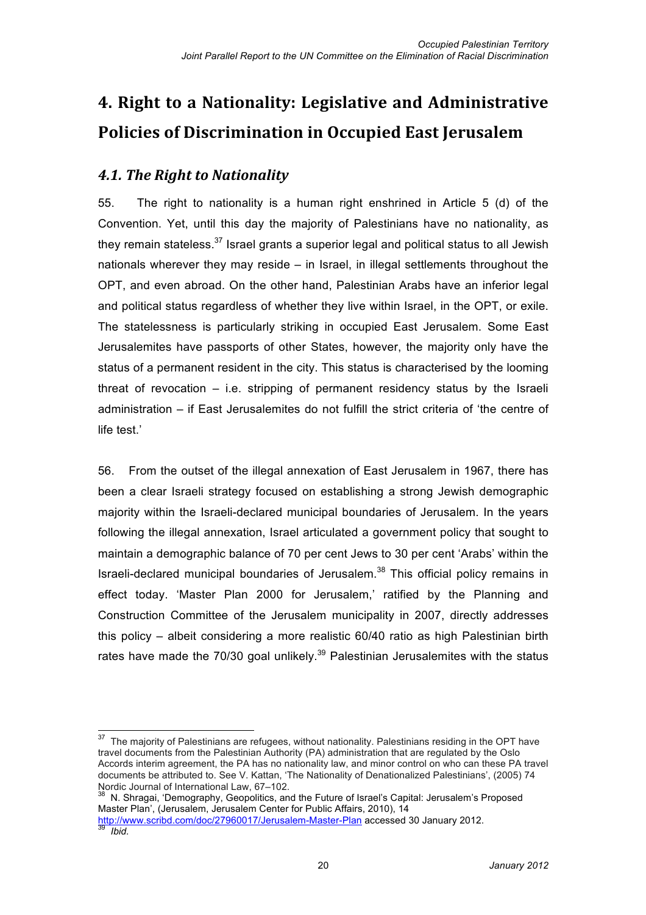# **4. Right to a Nationality: Legislative and Administrative Policies of Discrimination in Occupied East Jerusalem**

## **4.1. The Right to Nationality**

55. The right to nationality is a human right enshrined in Article 5 (d) of the Convention. Yet, until this day the majority of Palestinians have no nationality, as they remain stateless. $37$  Israel grants a superior legal and political status to all Jewish nationals wherever they may reside – in Israel, in illegal settlements throughout the OPT, and even abroad. On the other hand, Palestinian Arabs have an inferior legal and political status regardless of whether they live within Israel, in the OPT, or exile. The statelessness is particularly striking in occupied East Jerusalem. Some East Jerusalemites have passports of other States, however, the majority only have the status of a permanent resident in the city. This status is characterised by the looming threat of revocation  $-$  i.e. stripping of permanent residency status by the Israeli administration – if East Jerusalemites do not fulfill the strict criteria of 'the centre of life test.'

56. From the outset of the illegal annexation of East Jerusalem in 1967, there has been a clear Israeli strategy focused on establishing a strong Jewish demographic majority within the Israeli-declared municipal boundaries of Jerusalem. In the years following the illegal annexation, Israel articulated a government policy that sought to maintain a demographic balance of 70 per cent Jews to 30 per cent 'Arabs' within the Israeli-declared municipal boundaries of Jerusalem.<sup>38</sup> This official policy remains in effect today. 'Master Plan 2000 for Jerusalem,' ratified by the Planning and Construction Committee of the Jerusalem municipality in 2007, directly addresses this policy – albeit considering a more realistic 60/40 ratio as high Palestinian birth rates have made the 70/30 goal unlikely.<sup>39</sup> Palestinian Jerusalemites with the status

<sup>&</sup>lt;sup>37</sup> The maiority of Palestinians are refugees, without nationality. Palestinians residing in the OPT have travel documents from the Palestinian Authority (PA) administration that are regulated by the Oslo Accords interim agreement, the PA has no nationality law, and minor control on who can these PA travel documents be attributed to. See V. Kattan, 'The Nationality of Denationalized Palestinians', (2005) 74<br>Nordic Journal of International Law, 67–102.

N. Shragai, 'Demography, Geopolitics, and the Future of Israel's Capital: Jerusalem's Proposed Master Plan', (Jerusalem, Jerusalem Center for Public Affairs, 2010), 14

http://www.scribd.com/doc/27960017/Jerusalem-Master-Plan accessed 30 January 2012. <sup>39</sup> *Ibid.*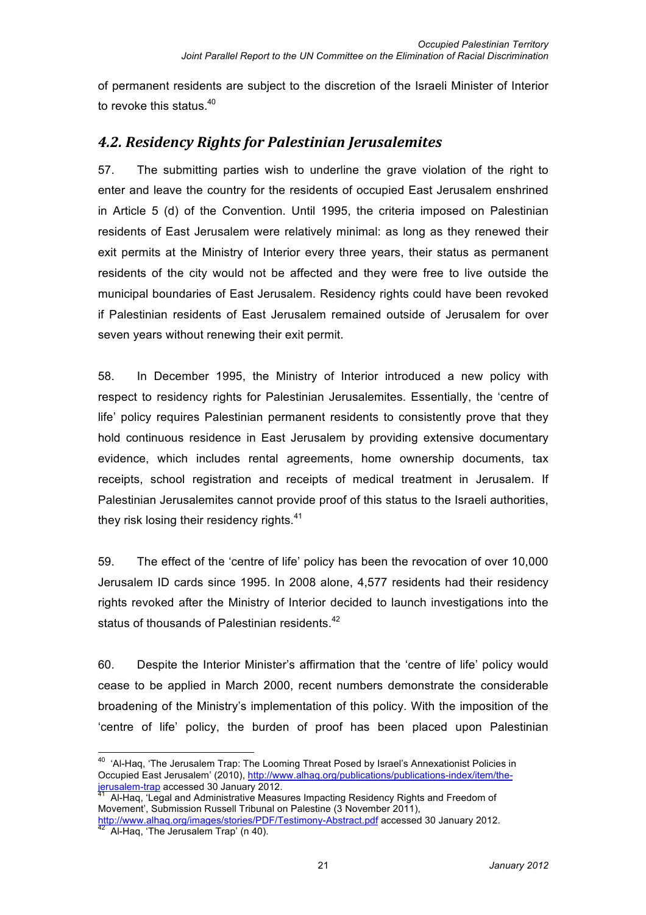of permanent residents are subject to the discretion of the Israeli Minister of Interior to revoke this status.<sup>40</sup>

### **4.2. Residency Rights for Palestinian Jerusalemites**

57. The submitting parties wish to underline the grave violation of the right to enter and leave the country for the residents of occupied East Jerusalem enshrined in Article 5 (d) of the Convention. Until 1995, the criteria imposed on Palestinian residents of East Jerusalem were relatively minimal: as long as they renewed their exit permits at the Ministry of Interior every three years, their status as permanent residents of the city would not be affected and they were free to live outside the municipal boundaries of East Jerusalem. Residency rights could have been revoked if Palestinian residents of East Jerusalem remained outside of Jerusalem for over seven years without renewing their exit permit.

58. In December 1995, the Ministry of Interior introduced a new policy with respect to residency rights for Palestinian Jerusalemites. Essentially, the 'centre of life' policy requires Palestinian permanent residents to consistently prove that they hold continuous residence in East Jerusalem by providing extensive documentary evidence, which includes rental agreements, home ownership documents, tax receipts, school registration and receipts of medical treatment in Jerusalem. If Palestinian Jerusalemites cannot provide proof of this status to the Israeli authorities, they risk losing their residency rights.<sup>41</sup>

59. The effect of the 'centre of life' policy has been the revocation of over 10,000 Jerusalem ID cards since 1995. In 2008 alone, 4,577 residents had their residency rights revoked after the Ministry of Interior decided to launch investigations into the status of thousands of Palestinian residents.<sup>42</sup>

60. Despite the Interior Minister's affirmation that the 'centre of life' policy would cease to be applied in March 2000, recent numbers demonstrate the considerable broadening of the Ministry's implementation of this policy. With the imposition of the 'centre of life' policy, the burden of proof has been placed upon Palestinian

 $40$  'Al-Haq, 'The Jerusalem Trap: The Looming Threat Posed by Israel's Annexationist Policies in Occupied East Jerusalem' (2010), http://www.alhaq.org/publications/publications-index/item/thejerusalem-trap accessed 30 January 2012. <sup>41</sup> Al-Haq, 'Legal and Administrative Measures Impacting Residency Rights and Freedom of

Movement', Submission Russell Tribunal on Palestine (3 November 2011),

http://www.alhaq.org/images/stories/PDF/Testimony-Abstract.pdf accessed 30 January 2012.<br><sup>42</sup> Al-Haq, 'The Jerusalem Trap' (n 40).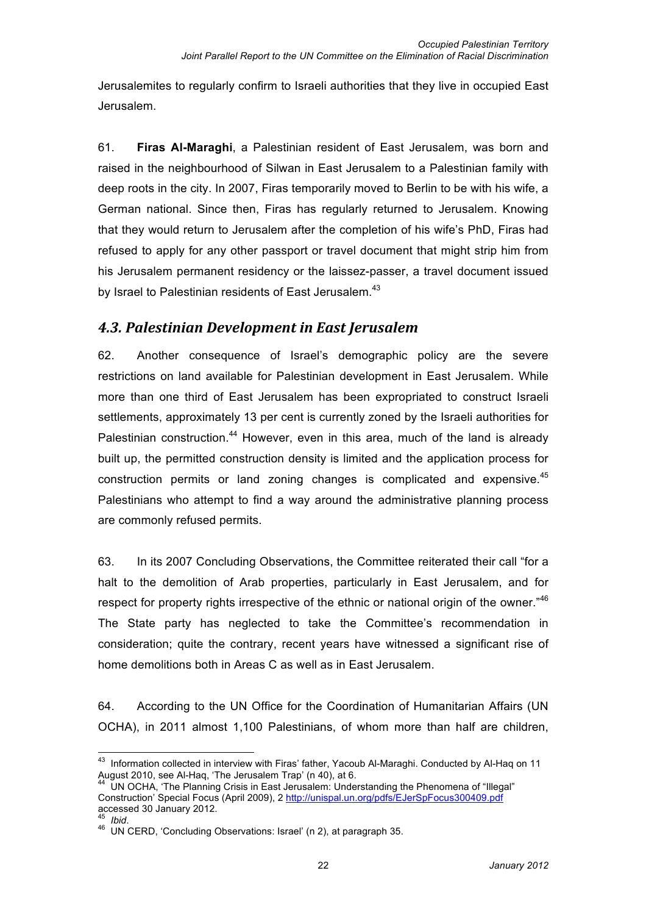Jerusalemites to regularly confirm to Israeli authorities that they live in occupied East Jerusalem.

61. **Firas Al-Maraghi**, a Palestinian resident of East Jerusalem, was born and raised in the neighbourhood of Silwan in East Jerusalem to a Palestinian family with deep roots in the city. In 2007, Firas temporarily moved to Berlin to be with his wife, a German national. Since then, Firas has regularly returned to Jerusalem. Knowing that they would return to Jerusalem after the completion of his wife's PhD, Firas had refused to apply for any other passport or travel document that might strip him from his Jerusalem permanent residency or the laissez-passer, a travel document issued by Israel to Palestinian residents of East Jerusalem.<sup>43</sup>

### **4.3. Palestinian Development in East Jerusalem**

62. Another consequence of Israel's demographic policy are the severe restrictions on land available for Palestinian development in East Jerusalem. While more than one third of East Jerusalem has been expropriated to construct Israeli settlements, approximately 13 per cent is currently zoned by the Israeli authorities for Palestinian construction.<sup>44</sup> However, even in this area, much of the land is already built up, the permitted construction density is limited and the application process for construction permits or land zoning changes is complicated and expensive.  $45$ Palestinians who attempt to find a way around the administrative planning process are commonly refused permits.

63. In its 2007 Concluding Observations, the Committee reiterated their call "for a halt to the demolition of Arab properties, particularly in East Jerusalem, and for respect for property rights irrespective of the ethnic or national origin of the owner."<sup>46</sup> The State party has neglected to take the Committee's recommendation in consideration; quite the contrary, recent years have witnessed a significant rise of home demolitions both in Areas C as well as in East Jerusalem.

64. According to the UN Office for the Coordination of Humanitarian Affairs (UN OCHA), in 2011 almost 1,100 Palestinians, of whom more than half are children,

<sup>&</sup>lt;sup>43</sup> Information collected in interview with Firas' father, Yacoub Al-Maraghi. Conducted by Al-Haq on 11<br>August 2010, see Al-Haq, 'The Jerusalem Trap' (n 40), at 6.

UN OCHA, 'The Planning Crisis in East Jerusalem: Understanding the Phenomena of "Illegal" Construction' Special Focus (April 2009), 2 http://unispal.un.org/pdfs/EJerSpFocus300409.pdf accessed 30 January 2012.

<sup>45</sup> *Ibid.*<br>46 UN CERD, 'Concluding Observations: Israel' (n 2), at paragraph 35.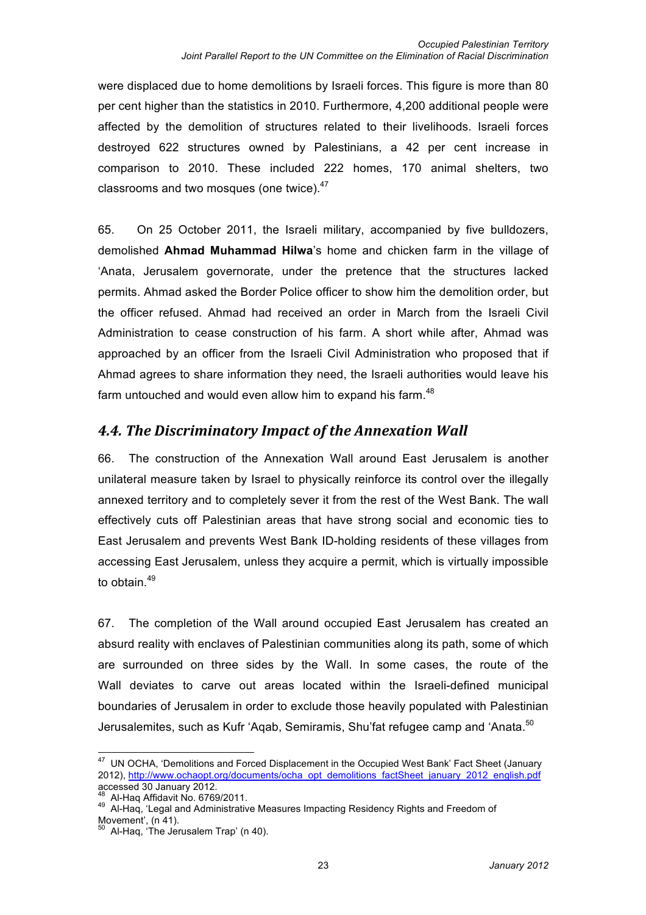were displaced due to home demolitions by Israeli forces. This figure is more than 80 per cent higher than the statistics in 2010. Furthermore, 4,200 additional people were affected by the demolition of structures related to their livelihoods. Israeli forces destroyed 622 structures owned by Palestinians, a 42 per cent increase in comparison to 2010. These included 222 homes, 170 animal shelters, two classrooms and two mosques (one twice).<sup>47</sup>

65. On 25 October 2011, the Israeli military, accompanied by five bulldozers, demolished **Ahmad Muhammad Hilwa**'s home and chicken farm in the village of 'Anata, Jerusalem governorate, under the pretence that the structures lacked permits. Ahmad asked the Border Police officer to show him the demolition order, but the officer refused. Ahmad had received an order in March from the Israeli Civil Administration to cease construction of his farm. A short while after, Ahmad was approached by an officer from the Israeli Civil Administration who proposed that if Ahmad agrees to share information they need, the Israeli authorities would leave his farm untouched and would even allow him to expand his farm.<sup>48</sup>

### **4.4. The Discriminatory Impact of the Annexation Wall**

66. The construction of the Annexation Wall around East Jerusalem is another unilateral measure taken by Israel to physically reinforce its control over the illegally annexed territory and to completely sever it from the rest of the West Bank. The wall effectively cuts off Palestinian areas that have strong social and economic ties to East Jerusalem and prevents West Bank ID-holding residents of these villages from accessing East Jerusalem, unless they acquire a permit, which is virtually impossible to obtain.<sup>49</sup>

67. The completion of the Wall around occupied East Jerusalem has created an absurd reality with enclaves of Palestinian communities along its path, some of which are surrounded on three sides by the Wall. In some cases, the route of the Wall deviates to carve out areas located within the Israeli-defined municipal boundaries of Jerusalem in order to exclude those heavily populated with Palestinian Jerusalemites, such as Kufr 'Aqab, Semiramis, Shu'fat refugee camp and 'Anata.<sup>50</sup>

<sup>&</sup>lt;sup>47</sup> UN OCHA, 'Demolitions and Forced Displacement in the Occupied West Bank' Fact Sheet (January 2012), http://www.ochaopt.org/documents/ocha\_opt\_demolitions\_factSheet\_january\_2012\_english.pdf<br>accessed 30 January 2012.

<sup>&</sup>lt;sup>48</sup> Al-Haq Affidavit No. 6769/2011.<br><sup>49</sup> Al-Haq, 'Legal and Administrative Measures Impacting Residency Rights and Freedom of Movement',  $(n 41)$ .<br><sup>50</sup> Al-Haq, 'The Jerusalem Trap' (n 40).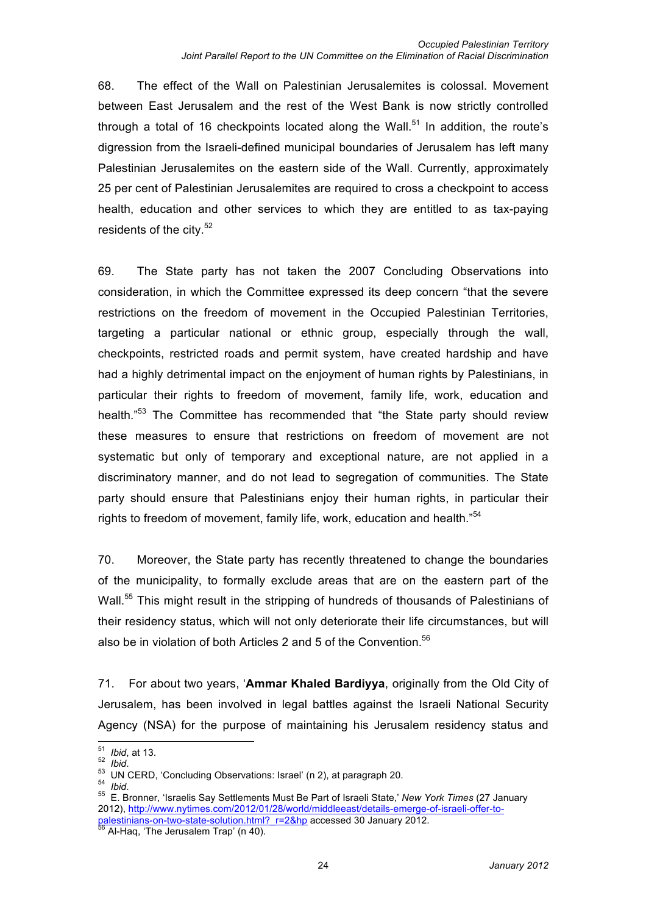68. The effect of the Wall on Palestinian Jerusalemites is colossal. Movement between East Jerusalem and the rest of the West Bank is now strictly controlled through a total of 16 checkpoints located along the Wall.<sup>51</sup> In addition, the route's digression from the Israeli-defined municipal boundaries of Jerusalem has left many Palestinian Jerusalemites on the eastern side of the Wall. Currently, approximately 25 per cent of Palestinian Jerusalemites are required to cross a checkpoint to access health, education and other services to which they are entitled to as tax-paying residents of the city. $52$ 

69. The State party has not taken the 2007 Concluding Observations into consideration, in which the Committee expressed its deep concern "that the severe restrictions on the freedom of movement in the Occupied Palestinian Territories, targeting a particular national or ethnic group, especially through the wall, checkpoints, restricted roads and permit system, have created hardship and have had a highly detrimental impact on the enjoyment of human rights by Palestinians, in particular their rights to freedom of movement, family life, work, education and health."<sup>53</sup> The Committee has recommended that "the State party should review these measures to ensure that restrictions on freedom of movement are not systematic but only of temporary and exceptional nature, are not applied in a discriminatory manner, and do not lead to segregation of communities. The State party should ensure that Palestinians enjoy their human rights, in particular their rights to freedom of movement, family life, work, education and health."<sup>54</sup>

70. Moreover, the State party has recently threatened to change the boundaries of the municipality, to formally exclude areas that are on the eastern part of the Wall.<sup>55</sup> This might result in the stripping of hundreds of thousands of Palestinians of their residency status, which will not only deteriorate their life circumstances, but will also be in violation of both Articles 2 and 5 of the Convention. $56$ 

71. For about two years, '**Ammar Khaled Bardiyya**, originally from the Old City of Jerusalem, has been involved in legal battles against the Israeli National Security Agency (NSA) for the purpose of maintaining his Jerusalem residency status and

<sup>51</sup> Ibid, at 13.<br><sup>52</sup> Ibid.<br><sup>53</sup> UN CERD, 'Concluding Observations: Israel' (n 2), at paragraph 20.<br><sup>54</sup> Ibid.<br><sup>55</sup> E. Bronner, 'Israelis Say Settlements Must Be Part of Israeli State,' *New York Times* (27 January 2012), http://www.nytimes.com/2012/01/28/world/middleeast/details-emerge-of-israeli-offer-topalestinians-on-two-state-solution.html?\_r=2&hp accessed 30 January 2012.<br><sup>56</sup> Al-Haq, 'The Jerusalem Trap' (n 40).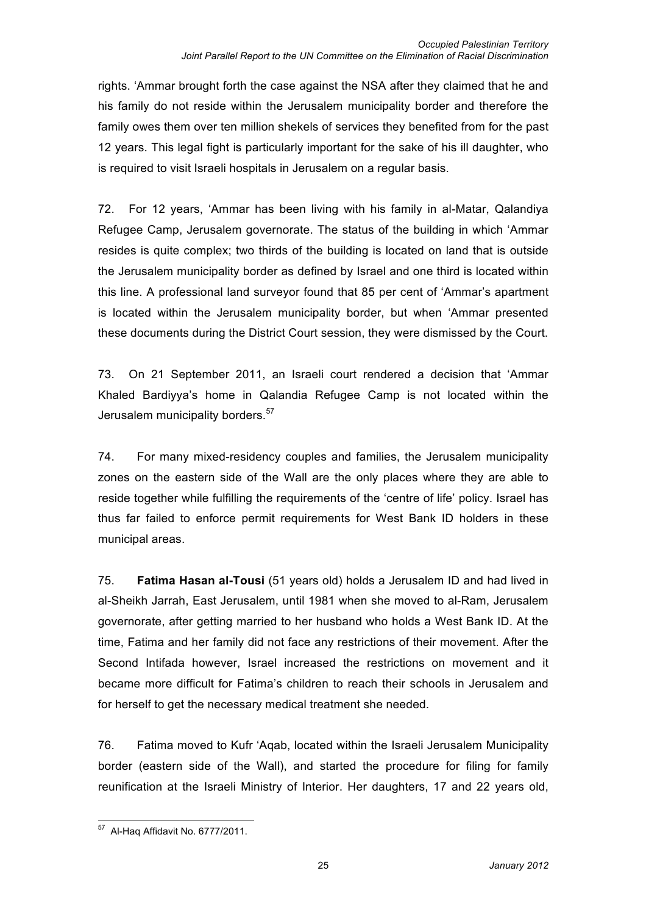rights. 'Ammar brought forth the case against the NSA after they claimed that he and his family do not reside within the Jerusalem municipality border and therefore the family owes them over ten million shekels of services they benefited from for the past 12 years. This legal fight is particularly important for the sake of his ill daughter, who is required to visit Israeli hospitals in Jerusalem on a regular basis.

72. For 12 years, 'Ammar has been living with his family in al-Matar, Qalandiya Refugee Camp, Jerusalem governorate. The status of the building in which 'Ammar resides is quite complex; two thirds of the building is located on land that is outside the Jerusalem municipality border as defined by Israel and one third is located within this line. A professional land surveyor found that 85 per cent of 'Ammar's apartment is located within the Jerusalem municipality border, but when 'Ammar presented these documents during the District Court session, they were dismissed by the Court.

73. On 21 September 2011, an Israeli court rendered a decision that 'Ammar Khaled Bardiyya's home in Qalandia Refugee Camp is not located within the Jerusalem municipality borders.<sup>57</sup>

74. For many mixed-residency couples and families, the Jerusalem municipality zones on the eastern side of the Wall are the only places where they are able to reside together while fulfilling the requirements of the 'centre of life' policy. Israel has thus far failed to enforce permit requirements for West Bank ID holders in these municipal areas.

75. **Fatima Hasan al-Tousi** (51 years old) holds a Jerusalem ID and had lived in al-Sheikh Jarrah, East Jerusalem, until 1981 when she moved to al-Ram, Jerusalem governorate, after getting married to her husband who holds a West Bank ID. At the time, Fatima and her family did not face any restrictions of their movement. After the Second Intifada however, Israel increased the restrictions on movement and it became more difficult for Fatima's children to reach their schools in Jerusalem and for herself to get the necessary medical treatment she needed.

76. Fatima moved to Kufr 'Aqab, located within the Israeli Jerusalem Municipality border (eastern side of the Wall), and started the procedure for filing for family reunification at the Israeli Ministry of Interior. Her daughters, 17 and 22 years old,

 <sup>57</sup> Al-Haq Affidavit No. 6777/2011.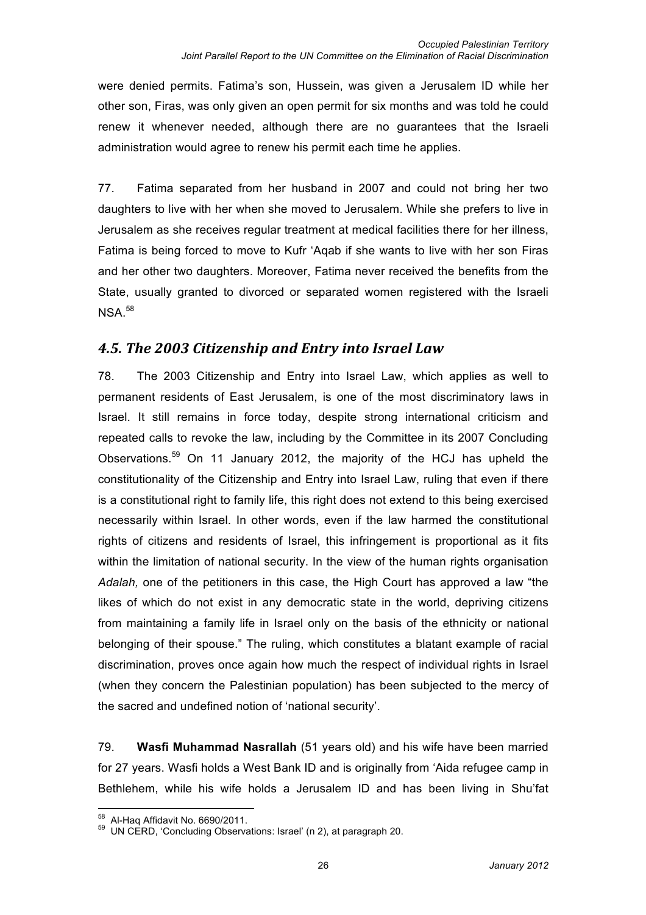were denied permits. Fatima's son, Hussein, was given a Jerusalem ID while her other son, Firas, was only given an open permit for six months and was told he could renew it whenever needed, although there are no guarantees that the Israeli administration would agree to renew his permit each time he applies.

77. Fatima separated from her husband in 2007 and could not bring her two daughters to live with her when she moved to Jerusalem. While she prefers to live in Jerusalem as she receives regular treatment at medical facilities there for her illness, Fatima is being forced to move to Kufr 'Aqab if she wants to live with her son Firas and her other two daughters. Moreover, Fatima never received the benefits from the State, usually granted to divorced or separated women registered with the Israeli  $NSA.<sup>58</sup>$ 

### **4.5. The 2003 Citizenship and Entry into Israel Law**

78. The 2003 Citizenship and Entry into Israel Law, which applies as well to permanent residents of East Jerusalem, is one of the most discriminatory laws in Israel. It still remains in force today, despite strong international criticism and repeated calls to revoke the law, including by the Committee in its 2007 Concluding Observations.59 On 11 January 2012, the majority of the HCJ has upheld the constitutionality of the Citizenship and Entry into Israel Law, ruling that even if there is a constitutional right to family life, this right does not extend to this being exercised necessarily within Israel. In other words, even if the law harmed the constitutional rights of citizens and residents of Israel, this infringement is proportional as it fits within the limitation of national security. In the view of the human rights organisation *Adalah,* one of the petitioners in this case, the High Court has approved a law "the likes of which do not exist in any democratic state in the world, depriving citizens from maintaining a family life in Israel only on the basis of the ethnicity or national belonging of their spouse." The ruling, which constitutes a blatant example of racial discrimination, proves once again how much the respect of individual rights in Israel (when they concern the Palestinian population) has been subjected to the mercy of the sacred and undefined notion of 'national security'.

79. **Wasfi Muhammad Nasrallah** (51 years old) and his wife have been married for 27 years. Wasfi holds a West Bank ID and is originally from 'Aida refugee camp in Bethlehem, while his wife holds a Jerusalem ID and has been living in Shu'fat

 $^{58}$  Al-Haq Affidavit No. 6690/2011.<br> $^{59}$  UN CERD, 'Concluding Observations: Israel' (n 2), at paragraph 20.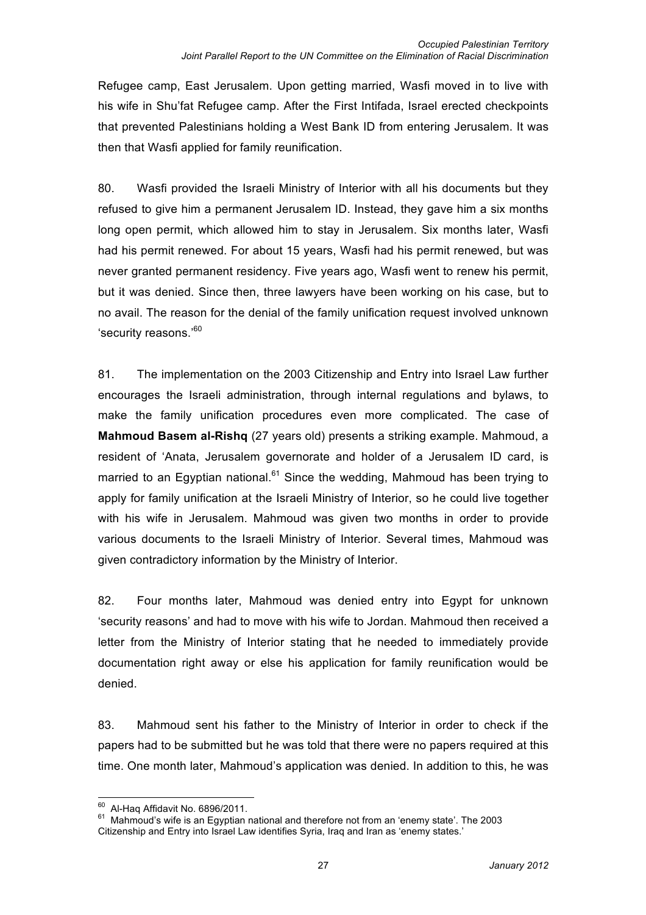Refugee camp, East Jerusalem. Upon getting married, Wasfi moved in to live with his wife in Shu'fat Refugee camp. After the First Intifada, Israel erected checkpoints that prevented Palestinians holding a West Bank ID from entering Jerusalem. It was then that Wasfi applied for family reunification.

80. Wasfi provided the Israeli Ministry of Interior with all his documents but they refused to give him a permanent Jerusalem ID. Instead, they gave him a six months long open permit, which allowed him to stay in Jerusalem. Six months later, Wasfi had his permit renewed. For about 15 years, Wasfi had his permit renewed, but was never granted permanent residency. Five years ago, Wasfi went to renew his permit, but it was denied. Since then, three lawyers have been working on his case, but to no avail. The reason for the denial of the family unification request involved unknown 'security reasons.'<sup>60</sup>

81. The implementation on the 2003 Citizenship and Entry into Israel Law further encourages the Israeli administration, through internal regulations and bylaws, to make the family unification procedures even more complicated. The case of **Mahmoud Basem al-Rishq** (27 years old) presents a striking example. Mahmoud, a resident of 'Anata, Jerusalem governorate and holder of a Jerusalem ID card, is married to an Egyptian national.<sup>61</sup> Since the wedding, Mahmoud has been trying to apply for family unification at the Israeli Ministry of Interior, so he could live together with his wife in Jerusalem. Mahmoud was given two months in order to provide various documents to the Israeli Ministry of Interior. Several times, Mahmoud was given contradictory information by the Ministry of Interior.

82. Four months later, Mahmoud was denied entry into Egypt for unknown 'security reasons' and had to move with his wife to Jordan. Mahmoud then received a letter from the Ministry of Interior stating that he needed to immediately provide documentation right away or else his application for family reunification would be denied.

83. Mahmoud sent his father to the Ministry of Interior in order to check if the papers had to be submitted but he was told that there were no papers required at this time. One month later, Mahmoud's application was denied. In addition to this, he was

 $^{60}$  Al-Haq Affidavit No. 6896/2011.<br><sup>61</sup> Mahmoud's wife is an Egyptian national and therefore not from an 'enemy state'. The 2003 Citizenship and Entry into Israel Law identifies Syria, Iraq and Iran as 'enemy states.'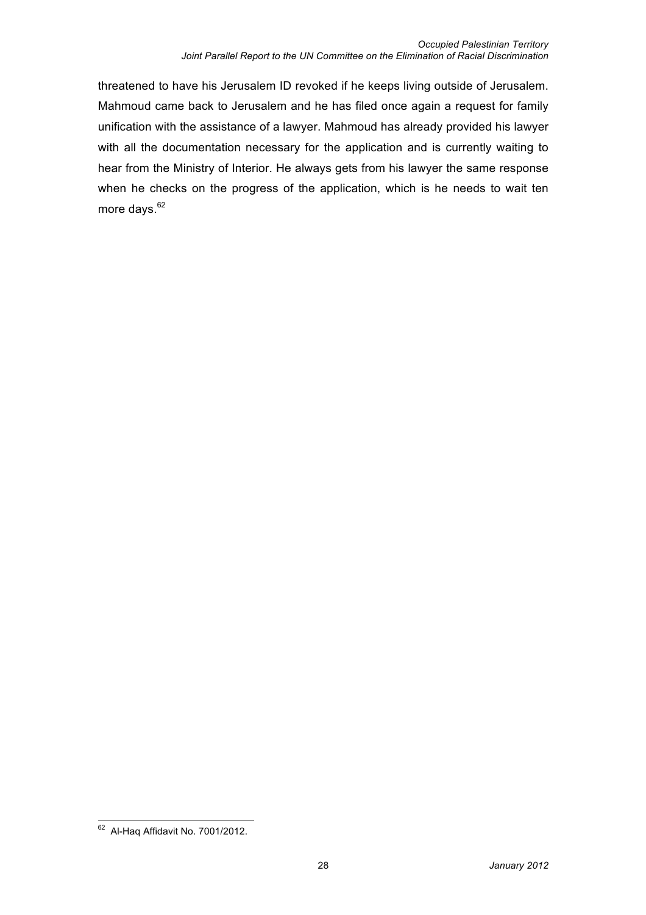threatened to have his Jerusalem ID revoked if he keeps living outside of Jerusalem. Mahmoud came back to Jerusalem and he has filed once again a request for family unification with the assistance of a lawyer. Mahmoud has already provided his lawyer with all the documentation necessary for the application and is currently waiting to hear from the Ministry of Interior. He always gets from his lawyer the same response when he checks on the progress of the application, which is he needs to wait ten more days.<sup>62</sup>

 $62$  Al-Haq Affidavit No. 7001/2012.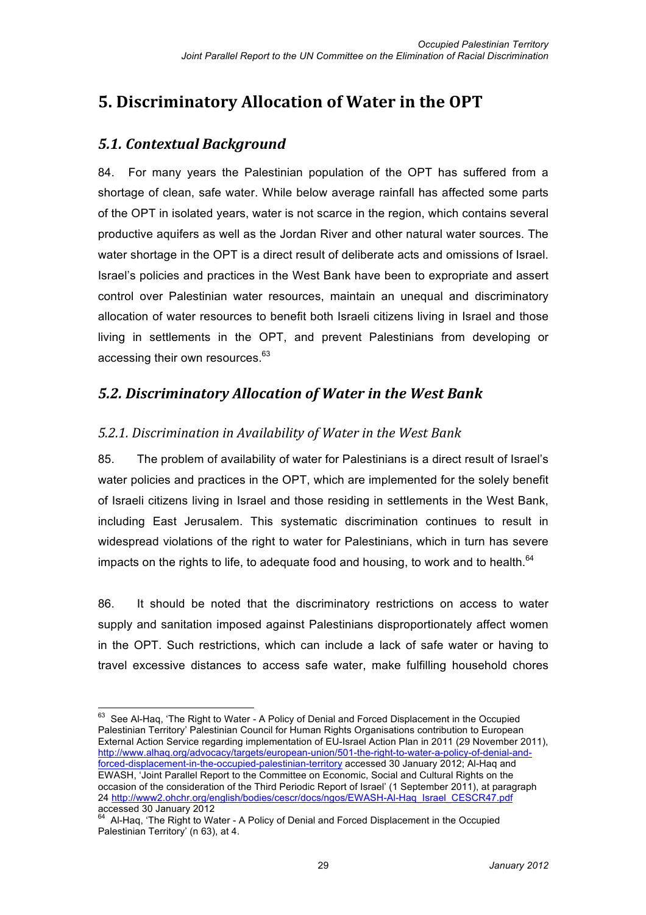## **5. Discriminatory Allocation of Water in the OPT**

### *5.1.#Contextual#Background#*

84. For many years the Palestinian population of the OPT has suffered from a shortage of clean, safe water. While below average rainfall has affected some parts of the OPT in isolated years, water is not scarce in the region, which contains several productive aquifers as well as the Jordan River and other natural water sources. The water shortage in the OPT is a direct result of deliberate acts and omissions of Israel. Israel's policies and practices in the West Bank have been to expropriate and assert control over Palestinian water resources, maintain an unequal and discriminatory allocation of water resources to benefit both Israeli citizens living in Israel and those living in settlements in the OPT, and prevent Palestinians from developing or accessing their own resources.<sup>63</sup>

### *5.2.#Discriminatory#Allocation#of#Water#in#the#West#Bank*

### *5.2.1. Discrimination in Availability of Water in the West Bank*

85. The problem of availability of water for Palestinians is a direct result of Israel's water policies and practices in the OPT, which are implemented for the solely benefit of Israeli citizens living in Israel and those residing in settlements in the West Bank, including East Jerusalem. This systematic discrimination continues to result in widespread violations of the right to water for Palestinians, which in turn has severe impacts on the rights to life, to adequate food and housing, to work and to health. $64$ 

86. It should be noted that the discriminatory restrictions on access to water supply and sanitation imposed against Palestinians disproportionately affect women in the OPT. Such restrictions, which can include a lack of safe water or having to travel excessive distances to access safe water, make fulfilling household chores

<sup>&</sup>lt;sup>63</sup> See Al-Haq, 'The Right to Water - A Policy of Denial and Forced Displacement in the Occupied Palestinian Territory' Palestinian Council for Human Rights Organisations contribution to European External Action Service regarding implementation of EU-Israel Action Plan in 2011 (29 November 2011), http://www.alhaq.org/advocacy/targets/european-union/501-the-right-to-water-a-policy-of-denial-andforced-displacement-in-the-occupied-palestinian-territory accessed 30 January 2012; Al-Haq and EWASH, 'Joint Parallel Report to the Committee on Economic, Social and Cultural Rights on the occasion of the consideration of the Third Periodic Report of Israel' (1 September 2011), at paragraph 24 http://www2.ohchr.org/english/bodies/cescr/docs/ngos/EWASH-Al-Haq\_Israel\_CESCR47.pdf accessed 30 January 2012

 $<sup>4</sup>$  Al-Haq, 'The Right to Water - A Policy of Denial and Forced Displacement in the Occupied</sup> Palestinian Territory' (n 63), at 4.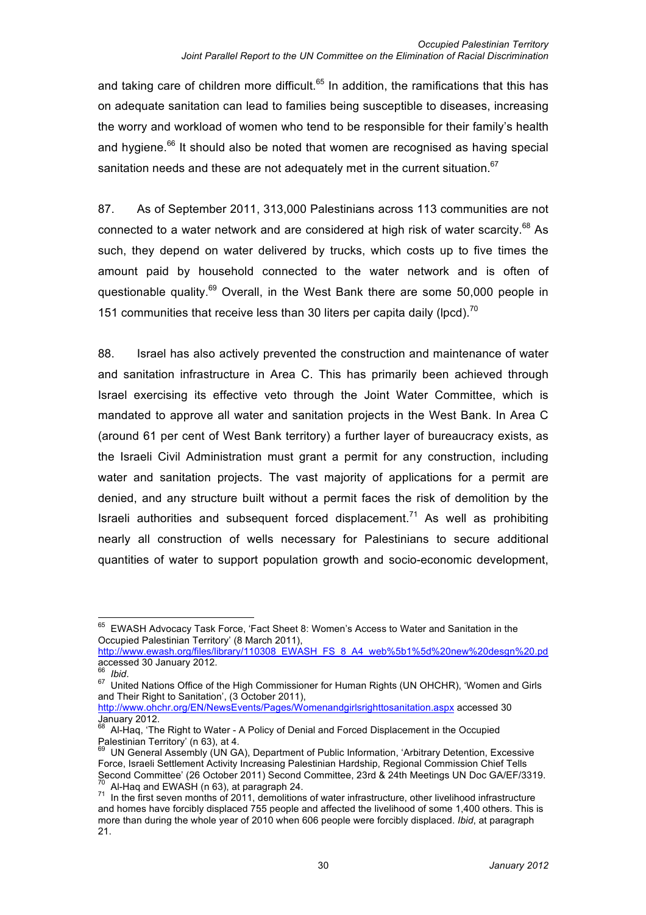and taking care of children more difficult.<sup>65</sup> In addition, the ramifications that this has on adequate sanitation can lead to families being susceptible to diseases, increasing the worry and workload of women who tend to be responsible for their family's health and hygiene. $66$  It should also be noted that women are recognised as having special sanitation needs and these are not adequately met in the current situation.  $67$ 

87. As of September 2011, 313,000 Palestinians across 113 communities are not connected to a water network and are considered at high risk of water scarcity.<sup>68</sup> As such, they depend on water delivered by trucks, which costs up to five times the amount paid by household connected to the water network and is often of questionable quality.<sup>69</sup> Overall, in the West Bank there are some 50,000 people in 151 communities that receive less than 30 liters per capita daily (lpcd).<sup>70</sup>

88. Israel has also actively prevented the construction and maintenance of water and sanitation infrastructure in Area C. This has primarily been achieved through Israel exercising its effective veto through the Joint Water Committee, which is mandated to approve all water and sanitation projects in the West Bank. In Area C (around 61 per cent of West Bank territory) a further layer of bureaucracy exists, as the Israeli Civil Administration must grant a permit for any construction, including water and sanitation projects. The vast majority of applications for a permit are denied, and any structure built without a permit faces the risk of demolition by the Israeli authorities and subsequent forced displacement.<sup>71</sup> As well as prohibiting nearly all construction of wells necessary for Palestinians to secure additional quantities of water to support population growth and socio-economic development,

http://www.ohchr.org/EN/NewsEvents/Pages/Womenandgirlsrighttosanitation.aspx accessed 30  $\frac{1}{\text{January } 2012.}$ 

 <sup>65</sup> EWASH Advocacy Task Force, 'Fact Sheet 8: Women's Access to Water and Sanitation in the Occupied Palestinian Territory' (8 March 2011),

http://www.ewash.org/files/library/110308\_EWASH\_FS\_8\_A4\_web%5b1%5d%20new%20desgn%20.pd accessed 30 January 2012.

<sup>66</sup>*Ibid*. <sup>67</sup> United Nations Office of the High Commissioner for Human Rights (UN OHCHR), 'Women and Girls and Their Right to Sanitation', (3 October 2011),

<sup>68</sup> Al-Haq, 'The Right to Water - A Policy of Denial and Forced Displacement in the Occupied

Palestinian Territory' (n 63), at 4.<br><sup>69</sup> UN General Assembly (UN GA), Department of Public Information, 'Arbitrary Detention, Excessive Force, Israeli Settlement Activity Increasing Palestinian Hardship, Regional Commission Chief Tells Second Committee' (26 October 2011) Second Committee, 23rd & 24th Meetings UN Doc GA/EF/3319.  $\frac{70}{70}$  Al-Haq and EWASH (n 63), at paragraph 24.<br><sup>71</sup> In the first seven months of 2011, demolitions of water infrastructure, other livelihood infrastructure

and homes have forcibly displaced 755 people and affected the livelihood of some 1,400 others. This is more than during the whole year of 2010 when 606 people were forcibly displaced. *Ibid*, at paragraph 21.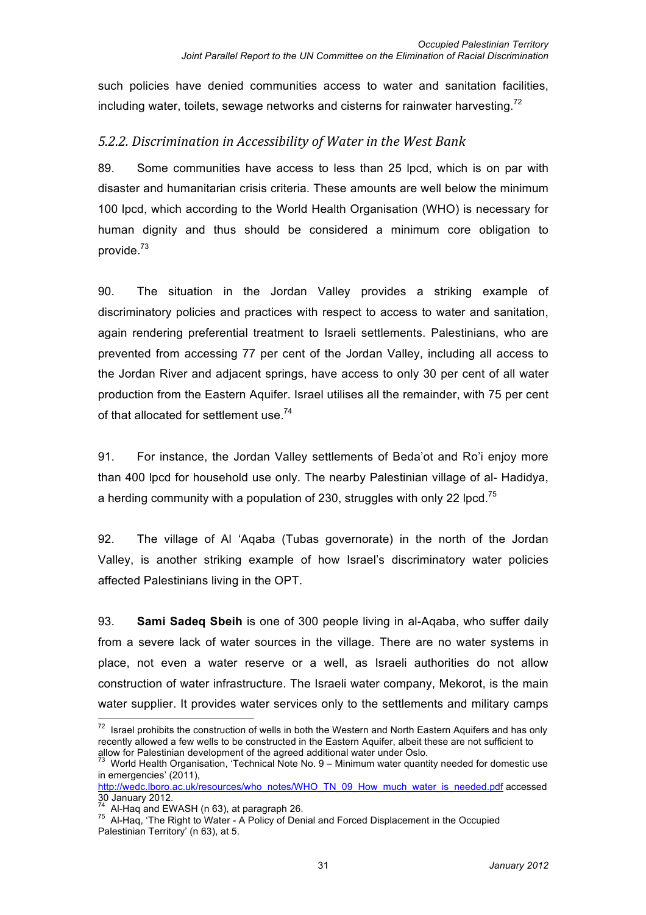such policies have denied communities access to water and sanitation facilities, including water, toilets, sewage networks and cisterns for rainwater harvesting.<sup>72</sup>

### *5.2.2. Discrimination in Accessibility of Water in the West Bank*

89. Some communities have access to less than 25 lpcd, which is on par with disaster and humanitarian crisis criteria. These amounts are well below the minimum 100 lpcd, which according to the World Health Organisation (WHO) is necessary for human dignity and thus should be considered a minimum core obligation to provide.<sup>73</sup>

90. The situation in the Jordan Valley provides a striking example of discriminatory policies and practices with respect to access to water and sanitation, again rendering preferential treatment to Israeli settlements. Palestinians, who are prevented from accessing 77 per cent of the Jordan Valley, including all access to the Jordan River and adjacent springs, have access to only 30 per cent of all water production from the Eastern Aquifer. Israel utilises all the remainder, with 75 per cent of that allocated for settlement use.<sup>74</sup>

91. For instance, the Jordan Valley settlements of Beda'ot and Ro'i enjoy more than 400 lpcd for household use only. The nearby Palestinian village of al- Hadidya, a herding community with a population of 230, struggles with only 22 lpcd.<sup>75</sup>

92. The village of Al 'Aqaba (Tubas governorate) in the north of the Jordan Valley, is another striking example of how Israel's discriminatory water policies affected Palestinians living in the OPT.

93. **Sami Sadeq Sbeih** is one of 300 people living in al-Aqaba, who suffer daily from a severe lack of water sources in the village. There are no water systems in place, not even a water reserve or a well, as Israeli authorities do not allow construction of water infrastructure. The Israeli water company, Mekorot, is the main water supplier. It provides water services only to the settlements and military camps

 $72$  Israel prohibits the construction of wells in both the Western and North Eastern Aquifers and has only recently allowed a few wells to be constructed in the Eastern Aquifer, albeit these are not sufficient to

allow for Palestinian development of the agreed additional water under Oslo.<br><sup>73</sup> World Health Organisation, 'Technical Note No. 9 – Minimum water quantity needed for domestic use in emergencies' (2011),

http://wedc.lboro.ac.uk/resources/who\_notes/WHO\_TN\_09\_How\_much\_water\_is\_needed.pdf accessed 30 January 2012.

 $74$  Al-Haq and EWASH (n 63), at paragraph 26.<br>
<sup>75</sup> Al-Haq, 'The Right to Water - A Policy of Denial and Forced Displacement in the Occupied Palestinian Territory' (n 63), at 5.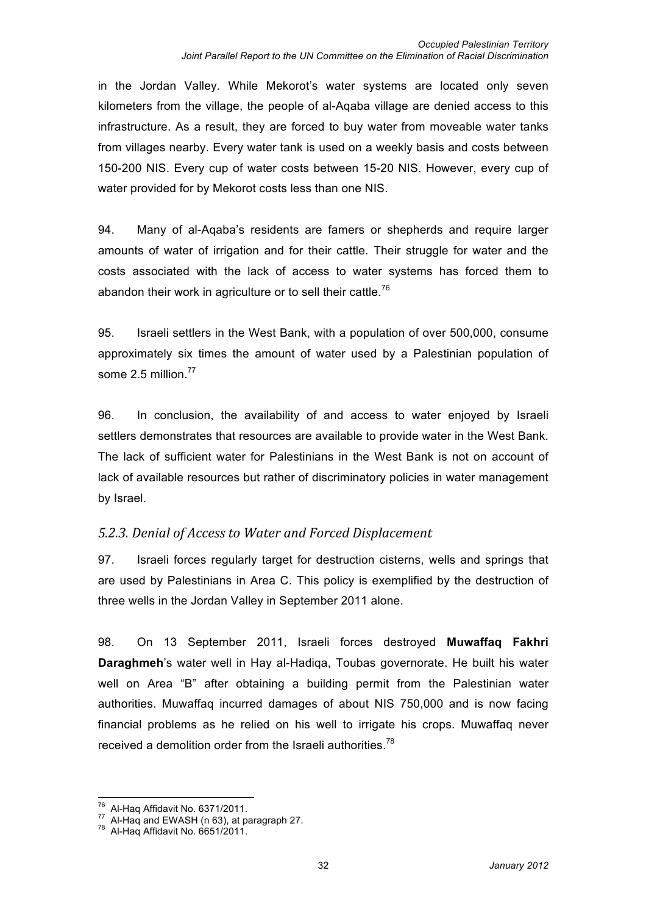in the Jordan Valley. While Mekorot's water systems are located only seven kilometers from the village, the people of al-Aqaba village are denied access to this infrastructure. As a result, they are forced to buy water from moveable water tanks from villages nearby. Every water tank is used on a weekly basis and costs between 150-200 NIS. Every cup of water costs between 15-20 NIS. However, every cup of water provided for by Mekorot costs less than one NIS.

94. Many of al-Aqaba's residents are famers or shepherds and require larger amounts of water of irrigation and for their cattle. Their struggle for water and the costs associated with the lack of access to water systems has forced them to abandon their work in agriculture or to sell their cattle.<sup>76</sup>

95. Israeli settlers in the West Bank, with a population of over 500,000, consume approximately six times the amount of water used by a Palestinian population of some  $2.5$  million.<sup>77</sup>

96. In conclusion, the availability of and access to water enjoyed by Israeli settlers demonstrates that resources are available to provide water in the West Bank. The lack of sufficient water for Palestinians in the West Bank is not on account of lack of available resources but rather of discriminatory policies in water management by Israel.

#### *5.2.3. Denial of Access to Water and Forced Displacement*

97. Israeli forces regularly target for destruction cisterns, wells and springs that are used by Palestinians in Area C. This policy is exemplified by the destruction of three wells in the Jordan Valley in September 2011 alone.

98. On 13 September 2011, Israeli forces destroyed **Muwaffaq Fakhri Daraghmeh**'s water well in Hay al-Hadiqa, Toubas governorate. He built his water well on Area "B" after obtaining a building permit from the Palestinian water authorities. Muwaffaq incurred damages of about NIS 750,000 and is now facing financial problems as he relied on his well to irrigate his crops. Muwaffaq never received a demolition order from the Israeli authorities.<sup>78</sup>

 $\frac{76}{77}$  Al-Haq Affidavit No. 6371/2011.<br><sup>77</sup> Al-Haq and EWASH (n 63), at paragraph 27.<br><sup>78</sup> Al-Haq Affidavit No. 6651/2011.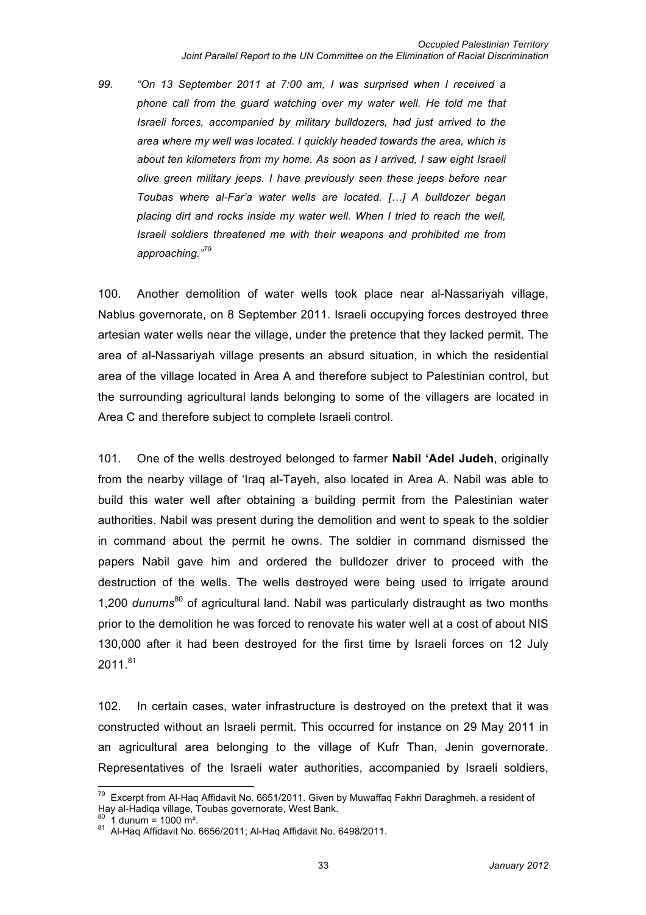*99. "On 13 September 2011 at 7:00 am, I was surprised when I received a phone call from the guard watching over my water well. He told me that Israeli forces, accompanied by military bulldozers, had just arrived to the area where my well was located. I quickly headed towards the area, which is about ten kilometers from my home. As soon as I arrived, I saw eight Israeli olive green military jeeps. I have previously seen these jeeps before near Toubas where al-Far'a water wells are located. […] A bulldozer began placing dirt and rocks inside my water well. When I tried to reach the well, Israeli soldiers threatened me with their weapons and prohibited me from approaching."<sup>79</sup>*

100. Another demolition of water wells took place near al-Nassariyah village, Nablus governorate, on 8 September 2011. Israeli occupying forces destroyed three artesian water wells near the village, under the pretence that they lacked permit. The area of al-Nassariyah village presents an absurd situation, in which the residential area of the village located in Area A and therefore subject to Palestinian control, but the surrounding agricultural lands belonging to some of the villagers are located in Area C and therefore subject to complete Israeli control.

101. One of the wells destroyed belonged to farmer **Nabil 'Adel Judeh**, originally from the nearby village of 'Iraq al-Tayeh, also located in Area A. Nabil was able to build this water well after obtaining a building permit from the Palestinian water authorities. Nabil was present during the demolition and went to speak to the soldier in command about the permit he owns. The soldier in command dismissed the papers Nabil gave him and ordered the bulldozer driver to proceed with the destruction of the wells. The wells destroyed were being used to irrigate around 1,200 *dunums*80 of agricultural land. Nabil was particularly distraught as two months prior to the demolition he was forced to renovate his water well at a cost of about NIS 130,000 after it had been destroyed for the first time by Israeli forces on 12 July  $2011.^{81}$ 

102. In certain cases, water infrastructure is destroyed on the pretext that it was constructed without an Israeli permit. This occurred for instance on 29 May 2011 in an agricultural area belonging to the village of Kufr Than, Jenin governorate. Representatives of the Israeli water authorities, accompanied by Israeli soldiers,

 $^{79}$  Excerpt from Al-Haq Affidavit No. 6651/2011. Given by Muwaffaq Fakhri Daraghmeh, a resident of Hay al-Hadiqa village, Toubas governorate, West Bank.

 $^{80}$  1 dunum = 1000 m<sup>2</sup>.<br><sup>81</sup> Al-Haq Affidavit No. 6656/2011; Al-Haq Affidavit No. 6498/2011.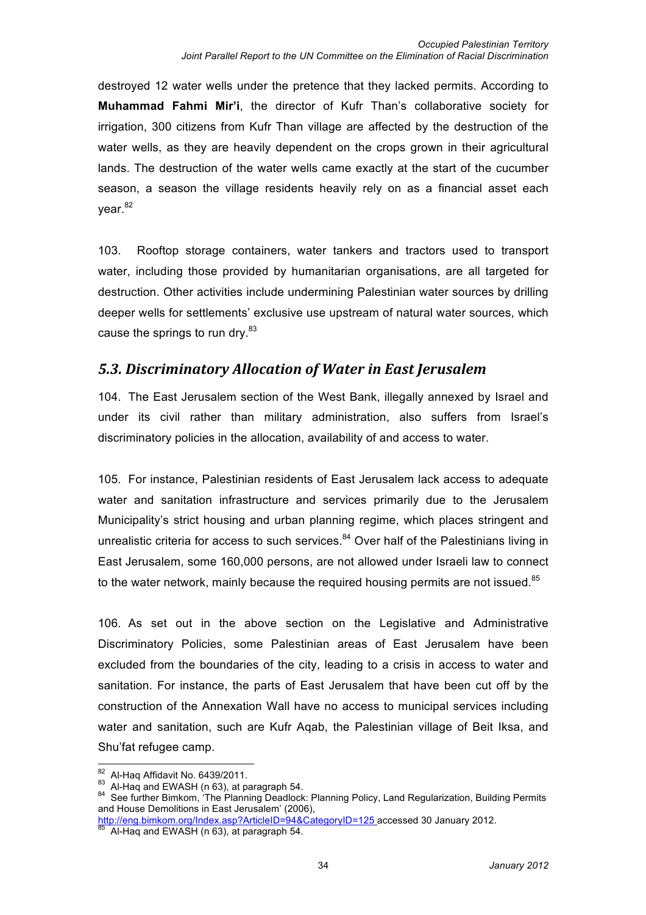destroyed 12 water wells under the pretence that they lacked permits. According to **Muhammad Fahmi Mir'i**, the director of Kufr Than's collaborative society for irrigation, 300 citizens from Kufr Than village are affected by the destruction of the water wells, as they are heavily dependent on the crops grown in their agricultural lands. The destruction of the water wells came exactly at the start of the cucumber season, a season the village residents heavily rely on as a financial asset each vear.<sup>82</sup>

103. Rooftop storage containers, water tankers and tractors used to transport water, including those provided by humanitarian organisations, are all targeted for destruction. Other activities include undermining Palestinian water sources by drilling deeper wells for settlements' exclusive use upstream of natural water sources, which cause the springs to run dry.<sup>83</sup>

### *5.3.#Discriminatory#Allocation#of#Water#in#East#Jerusalem*

104. The East Jerusalem section of the West Bank, illegally annexed by Israel and under its civil rather than military administration, also suffers from Israel's discriminatory policies in the allocation, availability of and access to water.

105. For instance, Palestinian residents of East Jerusalem lack access to adequate water and sanitation infrastructure and services primarily due to the Jerusalem Municipality's strict housing and urban planning regime, which places stringent and unrealistic criteria for access to such services. $84$  Over half of the Palestinians living in East Jerusalem, some 160,000 persons, are not allowed under Israeli law to connect to the water network, mainly because the required housing permits are not issued.<sup>85</sup>

106. As set out in the above section on the Legislative and Administrative Discriminatory Policies, some Palestinian areas of East Jerusalem have been excluded from the boundaries of the city, leading to a crisis in access to water and sanitation. For instance, the parts of East Jerusalem that have been cut off by the construction of the Annexation Wall have no access to municipal services including water and sanitation, such are Kufr Aqab, the Palestinian village of Beit Iksa, and Shu'fat refugee camp.

<sup>&</sup>lt;sup>82</sup> Al-Haq Affidavit No. 6439/2011.<br><sup>83</sup> Al-Haq and EWASH (n 63), at paragraph 54.<br><sup>84</sup> See further Bimkom, 'The Planning Deadlock: Planning Policy, Land Regularization, Building Permits and House Demolitions in East Jerusalem' (2006),

http://eng.bimkom.org/Index.asp?ArticleID=94&CategoryID=125 accessed 30 January 2012.<br><sup>85</sup> Al-Haq and EWASH (n 63), at paragraph 54.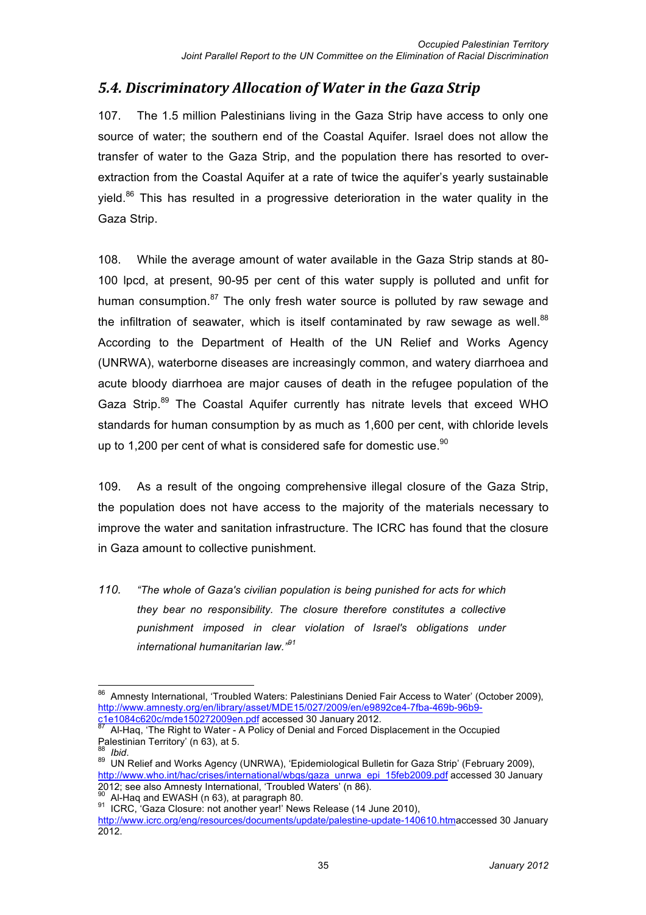## *5.4. Discriminatory Allocation of Water in the Gaza Strip*

107. The 1.5 million Palestinians living in the Gaza Strip have access to only one source of water; the southern end of the Coastal Aquifer. Israel does not allow the transfer of water to the Gaza Strip, and the population there has resorted to overextraction from the Coastal Aquifer at a rate of twice the aquifer's yearly sustainable vield. $86$  This has resulted in a progressive deterioration in the water quality in the Gaza Strip.

108. While the average amount of water available in the Gaza Strip stands at 80- 100 lpcd, at present, 90-95 per cent of this water supply is polluted and unfit for human consumption. $87$  The only fresh water source is polluted by raw sewage and the infiltration of seawater, which is itself contaminated by raw sewage as well.<sup>88</sup> According to the Department of Health of the UN Relief and Works Agency (UNRWA), waterborne diseases are increasingly common, and watery diarrhoea and acute bloody diarrhoea are major causes of death in the refugee population of the Gaza Strip.<sup>89</sup> The Coastal Aquifer currently has nitrate levels that exceed WHO standards for human consumption by as much as 1,600 per cent, with chloride levels up to 1,200 per cent of what is considered safe for domestic use. $90$ 

109. As a result of the ongoing comprehensive illegal closure of the Gaza Strip, the population does not have access to the majority of the materials necessary to improve the water and sanitation infrastructure. The ICRC has found that the closure in Gaza amount to collective punishment.

*110. "The whole of Gaza's civilian population is being punished for acts for which they bear no responsibility. The closure therefore constitutes a collective punishment imposed in clear violation of Israel's obligations under international humanitarian law."<sup>91</sup>*

<sup>86</sup> Amnesty International, 'Troubled Waters: Palestinians Denied Fair Access to Water' (October 2009), http://www.amnesty.org/en/library/asset/MDE15/027/2009/en/e9892ce4-7fba-469b-96b9-<br>c1e1084c620c/mde150272009en.pdf accessed 30 January 2012.

Al-Haq, 'The Right to Water - A Policy of Denial and Forced Displacement in the Occupied

Palestinian Territory' (n 63), at 5.<br><sup>88</sup>*Ibid.*<br><sup>89</sup> UN Relief and Works Agency (UNRWA), 'Epidemiological Bulletin for Gaza Strip' (February 2009), http://www.who.int/hac/crises/international/wbgs/gaza\_unrwa\_epi\_15feb2009.pdf accessed 30 January<br>2012; see also Amnesty International, 'Troubled Waters' (n 86).

<sup>&</sup>lt;sup>90</sup> Al-Haq and EWASH (n 63), at paragraph 80.<br><sup>91</sup> ICRC, 'Gaza Closure: not another year!' News Release (14 June 2010), http://www.icrc.org/eng/resources/documents/update/palestine-update-140610.htmaccessed 30 January 2012.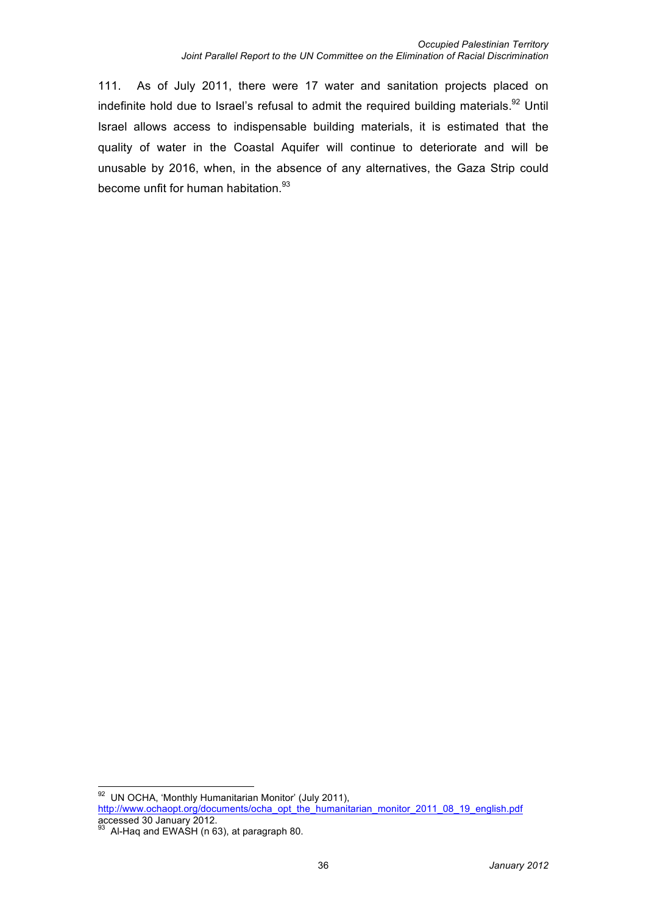111. As of July 2011, there were 17 water and sanitation projects placed on indefinite hold due to Israel's refusal to admit the required building materials.<sup>92</sup> Until Israel allows access to indispensable building materials, it is estimated that the quality of water in the Coastal Aquifer will continue to deteriorate and will be unusable by 2016, when, in the absence of any alternatives, the Gaza Strip could become unfit for human habitation.<sup>93</sup>

 <sup>92</sup> UN OCHA, 'Monthly Humanitarian Monitor' (July 2011), http://www.ochaopt.org/documents/ocha\_opt\_the\_humanitarian\_monitor\_2011\_08\_19\_english.pdf accessed 30 January 2012.<br><sup>93</sup> Al-Haq and EWASH (n 63), at paragraph 80.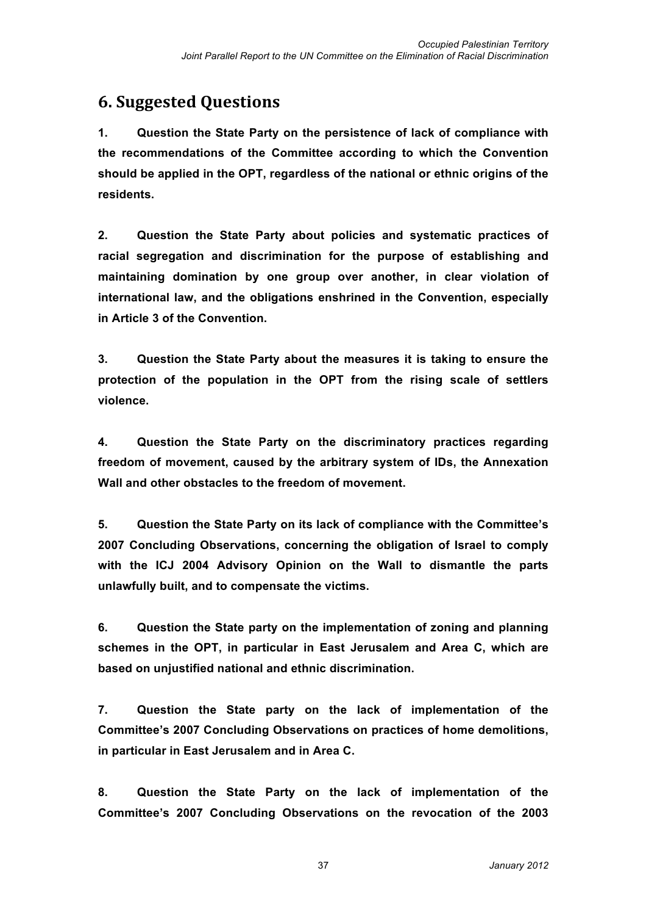## **6. Suggested Questions**

**1. Question the State Party on the persistence of lack of compliance with the recommendations of the Committee according to which the Convention should be applied in the OPT, regardless of the national or ethnic origins of the residents.**

**2. Question the State Party about policies and systematic practices of racial segregation and discrimination for the purpose of establishing and maintaining domination by one group over another, in clear violation of international law, and the obligations enshrined in the Convention, especially in Article 3 of the Convention.**

**3. Question the State Party about the measures it is taking to ensure the protection of the population in the OPT from the rising scale of settlers violence.** 

**4. Question the State Party on the discriminatory practices regarding freedom of movement, caused by the arbitrary system of IDs, the Annexation Wall and other obstacles to the freedom of movement.**

**5. Question the State Party on its lack of compliance with the Committee's 2007 Concluding Observations, concerning the obligation of Israel to comply with the ICJ 2004 Advisory Opinion on the Wall to dismantle the parts unlawfully built, and to compensate the victims.**

**6. Question the State party on the implementation of zoning and planning schemes in the OPT, in particular in East Jerusalem and Area C, which are based on unjustified national and ethnic discrimination.**

**7. Question the State party on the lack of implementation of the Committee's 2007 Concluding Observations on practices of home demolitions, in particular in East Jerusalem and in Area C.**

**8. Question the State Party on the lack of implementation of the Committee's 2007 Concluding Observations on the revocation of the 2003**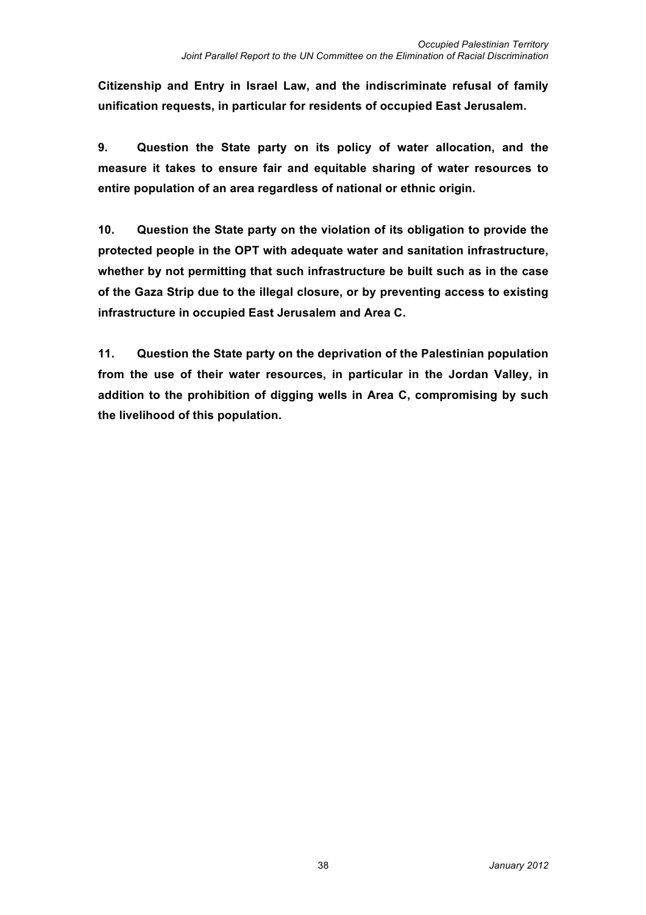**Citizenship and Entry in Israel Law, and the indiscriminate refusal of family unification requests, in particular for residents of occupied East Jerusalem.** 

**9. Question the State party on its policy of water allocation, and the measure it takes to ensure fair and equitable sharing of water resources to entire population of an area regardless of national or ethnic origin.**

**10. Question the State party on the violation of its obligation to provide the protected people in the OPT with adequate water and sanitation infrastructure, whether by not permitting that such infrastructure be built such as in the case of the Gaza Strip due to the illegal closure, or by preventing access to existing infrastructure in occupied East Jerusalem and Area C.**

**11. Question the State party on the deprivation of the Palestinian population from the use of their water resources, in particular in the Jordan Valley, in addition to the prohibition of digging wells in Area C, compromising by such the livelihood of this population.**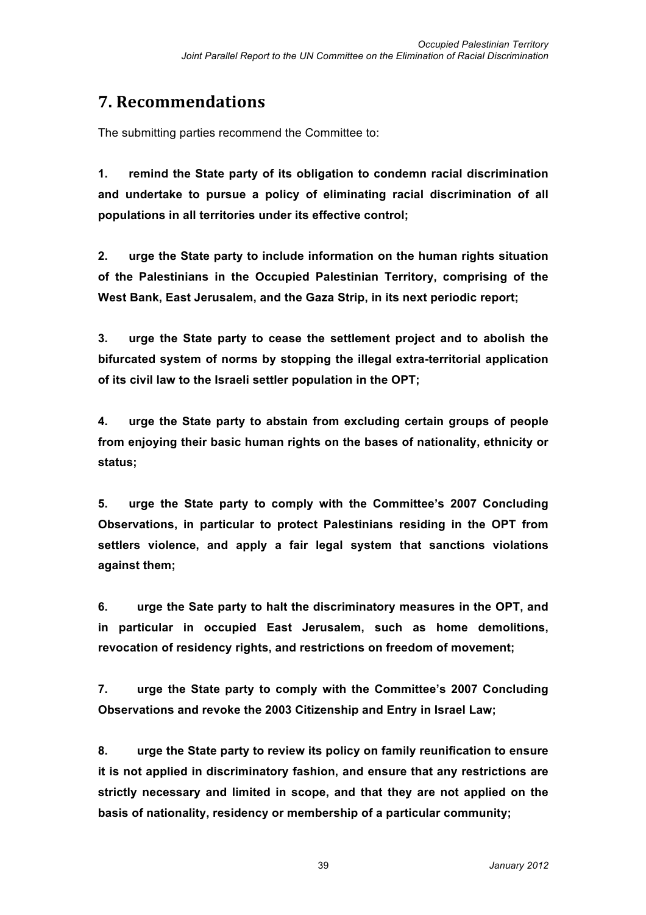## **7.!Recommendations**

The submitting parties recommend the Committee to:

**1. remind the State party of its obligation to condemn racial discrimination and undertake to pursue a policy of eliminating racial discrimination of all populations in all territories under its effective control;**

**2. urge the State party to include information on the human rights situation of the Palestinians in the Occupied Palestinian Territory, comprising of the West Bank, East Jerusalem, and the Gaza Strip, in its next periodic report;**

**3. urge the State party to cease the settlement project and to abolish the bifurcated system of norms by stopping the illegal extra-territorial application of its civil law to the Israeli settler population in the OPT;** 

**4. urge the State party to abstain from excluding certain groups of people from enjoying their basic human rights on the bases of nationality, ethnicity or status;**

**5. urge the State party to comply with the Committee's 2007 Concluding Observations, in particular to protect Palestinians residing in the OPT from settlers violence, and apply a fair legal system that sanctions violations against them;**

**6. urge the Sate party to halt the discriminatory measures in the OPT, and in particular in occupied East Jerusalem, such as home demolitions, revocation of residency rights, and restrictions on freedom of movement;**

**7. urge the State party to comply with the Committee's 2007 Concluding Observations and revoke the 2003 Citizenship and Entry in Israel Law;** 

**8. urge the State party to review its policy on family reunification to ensure it is not applied in discriminatory fashion, and ensure that any restrictions are strictly necessary and limited in scope, and that they are not applied on the basis of nationality, residency or membership of a particular community;**